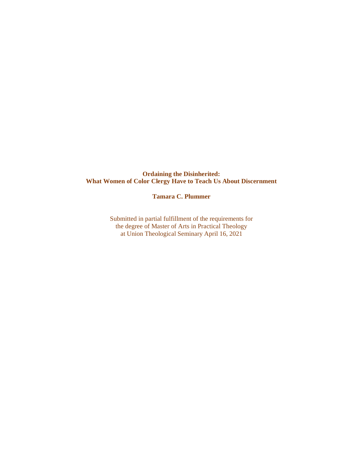### **Ordaining the Disinherited: What Women of Color Clergy Have to Teach Us About Discernment**

### **Tamara C. Plummer**

Submitted in partial fulfillment of the requirements for the degree of Master of Arts in Practical Theology at Union Theological Seminary April 16, 2021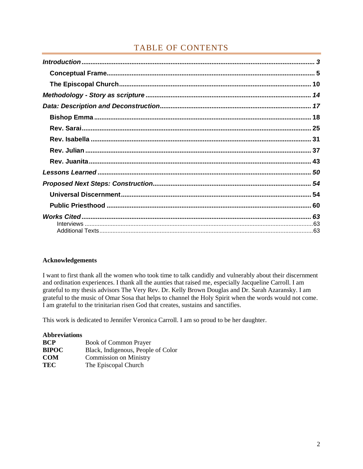# TABLE OF CONTENTS

### **Acknowledgements**

I want to first thank all the women who took time to talk candidly and vulnerably about their discernment and ordination experiences. I thank all the aunties that raised me, especially Jacqueline Carroll. I am grateful to my thesis advisors The Very Rev. Dr. Kelly Brown Douglas and Dr. Sarah Azaransky. I am grateful to the music of Omar Sosa that helps to channel the Holy Spirit when the words would not come. I am grateful to the trinitarian risen God that creates, sustains and sanctifies.

This work is dedicated to Jennifer Veronica Carroll. I am so proud to be her daughter.

| <b>Abbreviations</b> |                                    |
|----------------------|------------------------------------|
| <b>BCP</b>           | <b>Book of Common Prayer</b>       |
| <b>BIPOC</b>         | Black, Indigenous, People of Color |
| <b>COM</b>           | <b>Commission on Ministry</b>      |
| TEC                  | The Episcopal Church               |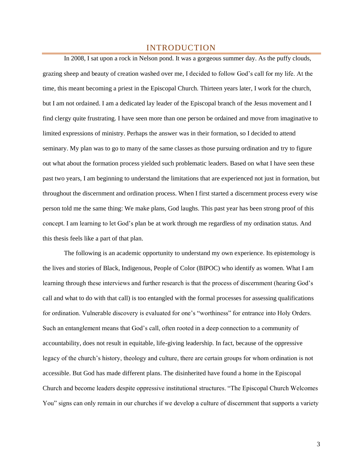## INTRODUCTION

<span id="page-2-0"></span>In 2008, I sat upon a rock in Nelson pond. It was a gorgeous summer day. As the puffy clouds, grazing sheep and beauty of creation washed over me, I decided to follow God's call for my life. At the time, this meant becoming a priest in the Episcopal Church. Thirteen years later, I work for the church, but I am not ordained. I am a dedicated lay leader of the Episcopal branch of the Jesus movement and I find clergy quite frustrating. I have seen more than one person be ordained and move from imaginative to limited expressions of ministry. Perhaps the answer was in their formation, so I decided to attend seminary. My plan was to go to many of the same classes as those pursuing ordination and try to figure out what about the formation process yielded such problematic leaders. Based on what I have seen these past two years, I am beginning to understand the limitations that are experienced not just in formation, but throughout the discernment and ordination process. When I first started a discernment process every wise person told me the same thing: We make plans, God laughs. This past year has been strong proof of this concept. I am learning to let God's plan be at work through me regardless of my ordination status. And this thesis feels like a part of that plan.

The following is an academic opportunity to understand my own experience. Its epistemology is the lives and stories of Black, Indigenous, People of Color (BIPOC) who identify as women. What I am learning through these interviews and further research is that the process of discernment (hearing God's call and what to do with that call) is too entangled with the formal processes for assessing qualifications for ordination. Vulnerable discovery is evaluated for one's "worthiness" for entrance into Holy Orders. Such an entanglement means that God's call, often rooted in a deep connection to a community of accountability, does not result in equitable, life-giving leadership. In fact, because of the oppressive legacy of the church's history, theology and culture, there are certain groups for whom ordination is not accessible. But God has made different plans. The disinherited have found a home in the Episcopal Church and become leaders despite oppressive institutional structures. "The Episcopal Church Welcomes You" signs can only remain in our churches if we develop a culture of discernment that supports a variety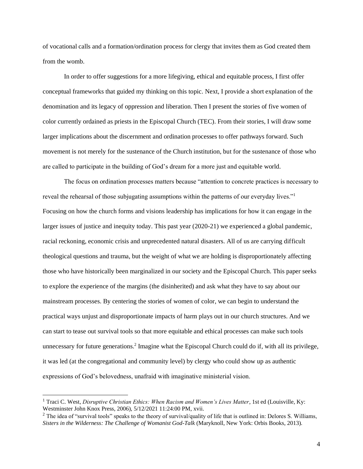of vocational calls and a formation/ordination process for clergy that invites them as God created them from the womb.

In order to offer suggestions for a more lifegiving, ethical and equitable process, I first offer conceptual frameworks that guided my thinking on this topic. Next, I provide a short explanation of the denomination and its legacy of oppression and liberation. Then I present the stories of five women of color currently ordained as priests in the Episcopal Church (TEC). From their stories, I will draw some larger implications about the discernment and ordination processes to offer pathways forward. Such movement is not merely for the sustenance of the Church institution, but for the sustenance of those who are called to participate in the building of God's dream for a more just and equitable world.

The focus on ordination processes matters because "attention to concrete practices is necessary to reveal the rehearsal of those subjugating assumptions within the patterns of our everyday lives."<sup>1</sup> Focusing on how the church forms and visions leadership has implications for how it can engage in the larger issues of justice and inequity today. This past year (2020-21) we experienced a global pandemic, racial reckoning, economic crisis and unprecedented natural disasters. All of us are carrying difficult theological questions and trauma, but the weight of what we are holding is disproportionately affecting those who have historically been marginalized in our society and the Episcopal Church. This paper seeks to explore the experience of the margins (the disinherited) and ask what they have to say about our mainstream processes. By centering the stories of women of color, we can begin to understand the practical ways unjust and disproportionate impacts of harm plays out in our church structures. And we can start to tease out survival tools so that more equitable and ethical processes can make such tools unnecessary for future generations.<sup>2</sup> Imagine what the Episcopal Church could do if, with all its privilege, it was led (at the congregational and community level) by clergy who could show up as authentic expressions of God's belovedness, unafraid with imaginative ministerial vision.

<sup>&</sup>lt;sup>1</sup> Traci C. West, *Disruptive Christian Ethics: When Racism and Women's Lives Matter*, 1st ed (Louisville, Ky: Westminster John Knox Press, 2006), 5/12/2021 11:24:00 PM, xvii.

 $2$  The idea of "survival tools" speaks to the theory of survival/quality of life that is outlined in: Delores S. Williams, *Sisters in the Wilderness: The Challenge of Womanist God-Talk* (Maryknoll, New York: Orbis Books, 2013).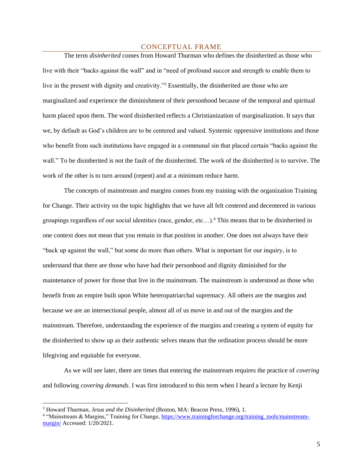#### CONCEPTUAL FRAME

<span id="page-4-0"></span>The term *disinherited* comes from Howard Thurman who defines the disinherited as those who live with their "backs against the wall" and in "need of profound succor and strength to enable them to live in the present with dignity and creativity."<sup>3</sup> Essentially, the disinherited are those who are marginalized and experience the diminishment of their personhood because of the temporal and spiritual harm placed upon them. The word disinherited reflects a Christianization of marginalization. It says that we, by default as God's children are to be centered and valued. Systemic oppressive institutions and those who benefit from such institutions have engaged in a communal sin that placed certain "backs against the wall." To be disinherited is not the fault of the disinherited. The work of the disinherited is to survive. The work of the other is to turn around (repent) and at a minimum reduce harm.

The concepts of mainstream and margins comes from my training with the organization Training for Change. Their activity on the topic highlights that we have all felt centered and decentered in various groupings regardless of our social identities (race, gender, etc…).<sup>4</sup> This means that to be disinherited in one context does not mean that you remain in that position in another. One does not always have their "back up against the wall," but some do more than others. What is important for our inquiry, is to understand that there are those who have had their personhood and dignity diminished for the maintenance of power for those that live in the mainstream. The mainstream is understood as those who benefit from an empire built upon White heteropatriarchal supremacy*.* All others are the margins and because we are an intersectional people, almost all of us move in and out of the margins and the mainstream. Therefore, understanding the experience of the margins and creating a system of equity for the disinherited to show up as their authentic selves means that the ordination process should be more lifegiving and equitable for everyone.

As we will see later, there are times that entering the mainstream requires the practice of *covering* and following *covering demands*. I was first introduced to this term when I heard a lecture by Kenji

<sup>3</sup> Howard Thurman, *Jesus and the Disinherited* (Boston, MA: Beacon Press, 1996), 1.

<sup>&</sup>lt;sup>4</sup> "Mainstream & Margins," Training for Change, [https://www.trainingforchange.org/training\\_tools/mainstream](https://www.trainingforchange.org/training_tools/mainstream-margin/)[margin/](https://www.trainingforchange.org/training_tools/mainstream-margin/) Accessed: 1/20/2021.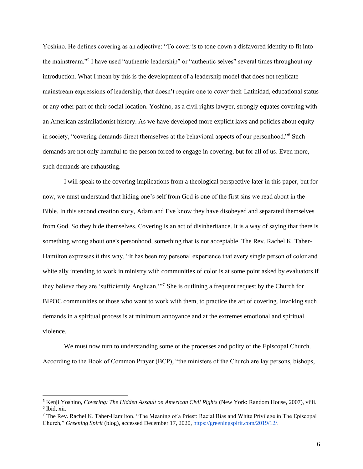Yoshino. He defines covering as an adjective: "To cover is to tone down a disfavored identity to fit into the mainstream."<sup>5</sup> I have used "authentic leadership" or "authentic selves" several times throughout my introduction. What I mean by this is the development of a leadership model that does not replicate mainstream expressions of leadership, that doesn't require one to *cover* their Latinidad, educational status or any other part of their social location. Yoshino, as a civil rights lawyer, strongly equates covering with an American assimilationist history. As we have developed more explicit laws and policies about equity in society, "covering demands direct themselves at the behavioral aspects of our personhood."<sup>6</sup> Such demands are not only harmful to the person forced to engage in covering, but for all of us. Even more, such demands are exhausting.

I will speak to the covering implications from a theological perspective later in this paper, but for now, we must understand that hiding one's self from God is one of the first sins we read about in the Bible. In this second creation story, Adam and Eve know they have disobeyed and separated themselves from God. So they hide themselves. Covering is an act of disinheritance. It is a way of saying that there is something wrong about one's personhood, something that is not acceptable. The Rev. Rachel K. Taber-Hamilton expresses it this way, "It has been my personal experience that every single person of color and white ally intending to work in ministry with communities of color is at some point asked by evaluators if they believe they are 'sufficiently Anglican.'"<sup>7</sup> She is outlining a frequent request by the Church for BIPOC communities or those who want to work with them, to practice the art of covering. Invoking such demands in a spiritual process is at minimum annoyance and at the extremes emotional and spiritual violence.

We must now turn to understanding some of the processes and polity of the Episcopal Church. According to the Book of Common Prayer (BCP), "the ministers of the Church are lay persons, bishops,

<sup>5</sup> Kenji Yoshino, *Covering: The Hidden Assault on American Civil Rights* (New York: Random House, 2007), viiii. 6 Ibid, xii.

 $7$  The Rev. Rachel K. Taber-Hamilton, "The Meaning of a Priest: Racial Bias and White Privilege in The Episcopal Church," *Greening Spirit* (blog), accessed December 17, 2020, [https://greeningspirit.com/2019/12/.](https://greeningspirit.com/2019/12/)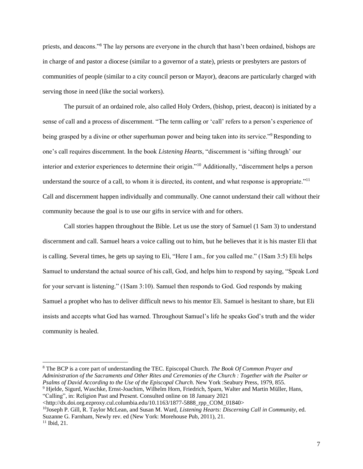priests, and deacons."<sup>8</sup> The lay persons are everyone in the church that hasn't been ordained, bishops are in charge of and pastor a diocese (similar to a governor of a state), priests or presbyters are pastors of communities of people (similar to a city council person or Mayor), deacons are particularly charged with serving those in need (like the social workers).

The pursuit of an ordained role, also called Holy Orders, (bishop, priest, deacon) is initiated by a sense of call and a process of discernment. "The term calling or 'call' refers to a person's experience of being grasped by a divine or other superhuman power and being taken into its service."<sup>9</sup>Responding to one's call requires discernment. In the book *Listening Hearts*, "discernment is 'sifting through' our interior and exterior experiences to determine their origin."<sup>10</sup> Additionally, "discernment helps a person understand the source of a call, to whom it is directed, its content, and what response is appropriate."<sup>11</sup> Call and discernment happen individually and communally. One cannot understand their call without their community because the goal is to use our gifts in service with and for others.

Call stories happen throughout the Bible. Let us use the story of Samuel (1 Sam 3) to understand discernment and call. Samuel hears a voice calling out to him, but he believes that it is his master Eli that is calling. Several times, he gets up saying to Eli, "Here I am., for you called me." (1Sam 3:5) Eli helps Samuel to understand the actual source of his call, God, and helps him to respond by saying, "Speak Lord for your servant is listening." (1Sam 3:10). Samuel then responds to God. God responds by making Samuel a prophet who has to deliver difficult news to his mentor Eli. Samuel is hesitant to share, but Eli insists and accepts what God has warned. Throughout Samuel's life he speaks God's truth and the wider community is healed.

"Calling", in: Religion Past and Present. Consulted online on 18 January 2021

<sup>8</sup> The BCP is a core part of understanding the TEC. Episcopal Church. *The Book Of Common Prayer and Administration of the Sacraments and Other Rites and Ceremonies of the Church : Together with the Psalter or Psalms of David According to the Use of the Episcopal Church.* New York :Seabury Press, 1979, 855. <sup>9</sup> Hjelde, Sigurd, Waschke, Ernst-Joachim, Wilhelm Horn, Friedrich, Sparn, Walter and Martin Müller, Hans,

<sup>&</sup>lt;http://dx.doi.org.ezproxy.cul.columbia.edu/10.1163/1877-5888\_rpp\_COM\_01840>

<sup>10</sup>Joseph P. Gill, R. Taylor McLean, and Susan M. Ward, *Listening Hearts: Discerning Call in Community*, ed. Suzanne G. Farnham, Newly rev. ed (New York: Morehouse Pub, 2011), 21.  $11$  Ibid, 21.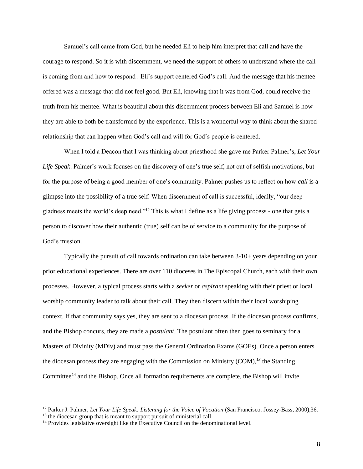Samuel's call came from God, but he needed Eli to help him interpret that call and have the courage to respond. So it is with discernment, we need the support of others to understand where the call is coming from and how to respond . Eli's support centered God's call. And the message that his mentee offered was a message that did not feel good. But Eli, knowing that it was from God, could receive the truth from his mentee. What is beautiful about this discernment process between Eli and Samuel is how they are able to both be transformed by the experience. This is a wonderful way to think about the shared relationship that can happen when God's call and will for God's people is centered.

When I told a Deacon that I was thinking about priesthood she gave me Parker Palmer's, *Let Your Life Speak*. Palmer's work focuses on the discovery of one's true self, not out of selfish motivations, but for the purpose of being a good member of one's community. Palmer pushes us to reflect on how *call* is a glimpse into the possibility of a true self. When discernment of call is successful, ideally, "our deep gladness meets the world's deep need."<sup>12</sup> This is what I define as a life giving process - one that gets a person to discover how their authentic (true) self can be of service to a community for the purpose of God's mission.

Typically the pursuit of call towards ordination can take between 3-10+ years depending on your prior educational experiences. There are over 110 dioceses in The Episcopal Church, each with their own processes. However, a typical process starts with a *seeker* or *aspirant* speaking with their priest or local worship community leader to talk about their call. They then discern within their local worshiping context. If that community says yes, they are sent to a diocesan process. If the diocesan process confirms, and the Bishop concurs, they are made a *postulant*. The postulant often then goes to seminary for a Masters of Divinity (MDiv) and must pass the General Ordination Exams (GOEs). Once a person enters the diocesan process they are engaging with the Commission on Ministry (COM),*<sup>13</sup>* the Standing Committee<sup>14</sup> and the Bishop. Once all formation requirements are complete, the Bishop will invite

<sup>12</sup> Parker J. Palmer, *Let Your Life Speak: Listening for the Voice of Vocation* (San Francisco: Jossey-Bass, 2000),36.

<sup>&</sup>lt;sup>13</sup> the diocesan group that is meant to support pursuit of ministerial call

 $14$  Provides legislative oversight like the Executive Council on the denominational level.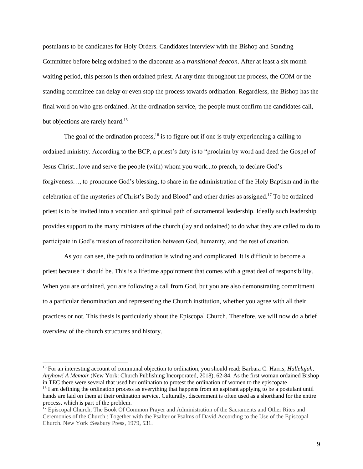postulants to be candidates for Holy Orders. Candidates interview with the Bishop and Standing Committee before being ordained to the diaconate as a *transitional deacon*. After at least a six month waiting period, this person is then ordained priest. At any time throughout the process, the COM or the standing committee can delay or even stop the process towards ordination. Regardless, the Bishop has the final word on who gets ordained. At the ordination service, the people must confirm the candidates call, but objections are rarely heard.<sup>15</sup>

The goal of the ordination process,  $16$  is to figure out if one is truly experiencing a calling to ordained ministry. According to the BCP, a priest's duty is to "proclaim by word and deed the Gospel of Jesus Christ...love and serve the people (with) whom you work...to preach, to declare God's forgiveness…, to pronounce God's blessing, to share in the administration of the Holy Baptism and in the celebration of the mysteries of Christ's Body and Blood" and other duties as assigned.<sup>17</sup> To be ordained priest is to be invited into a vocation and spiritual path of sacramental leadership. Ideally such leadership provides support to the many ministers of the church (lay and ordained) to do what they are called to do to participate in God's mission of reconciliation between God, humanity, and the rest of creation.

As you can see, the path to ordination is winding and complicated. It is difficult to become a priest because it should be. This is a lifetime appointment that comes with a great deal of responsibility. When you are ordained, you are following a call from God, but you are also demonstrating commitment to a particular denomination and representing the Church institution, whether you agree with all their practices or not. This thesis is particularly about the Episcopal Church. Therefore, we will now do a brief overview of the church structures and history.

<sup>15</sup> For an interesting account of communal objection to ordination, you should read: Barbara C. Harris, *Hallelujah, Anyhow! A Memoir* (New York: Church Publishing Incorporated, 2018), 62-84. As the first woman ordained Bishop in TEC there were several that used her ordination to protest the ordination of women to the episcopate <sup>16</sup> I am defining the ordination process as everything that happens from an aspirant applying to be a postulant until

hands are laid on them at their ordination service. Culturally, discernment is often used as a shorthand for the entire process, which is part of the problem.

<sup>&</sup>lt;sup>17</sup> Episcopal Church, The Book Of Common Prayer and Administration of the Sacraments and Other Rites and Ceremonies of the Church : Together with the Psalter or Psalms of David According to the Use of the Episcopal Church. New York :Seabury Press, 1979, 531.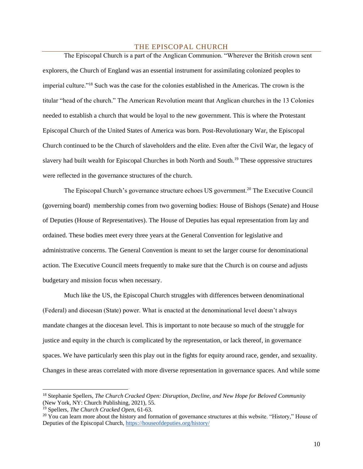#### THE EPISCOPAL CHURCH

<span id="page-9-0"></span>The Episcopal Church is a part of the Anglican Communion. "Wherever the British crown sent explorers, the Church of England was an essential instrument for assimilating colonized peoples to imperial culture."<sup>18</sup> Such was the case for the colonies established in the Americas. The crown is the titular "head of the church." The American Revolution meant that Anglican churches in the 13 Colonies needed to establish a church that would be loyal to the new government. This is where the Protestant Episcopal Church of the United States of America was born. Post-Revolutionary War, the Episcopal Church continued to be the Church of slaveholders and the elite. Even after the Civil War, the legacy of slavery had built wealth for Episcopal Churches in both North and South.<sup>19</sup> These oppressive structures were reflected in the governance structures of the church.

The Episcopal Church's governance structure echoes US government.<sup>20</sup> The Executive Council (governing board) membership comes from two governing bodies: House of Bishops (Senate) and House of Deputies (House of Representatives). The House of Deputies has equal representation from lay and ordained. These bodies meet every three years at the General Convention for legislative and administrative concerns. The General Convention is meant to set the larger course for denominational action. The Executive Council meets frequently to make sure that the Church is on course and adjusts budgetary and mission focus when necessary.

Much like the US, the Episcopal Church struggles with differences between denominational (Federal) and diocesan (State) power. What is enacted at the denominational level doesn't always mandate changes at the diocesan level. This is important to note because so much of the struggle for justice and equity in the church is complicated by the representation, or lack thereof, in governance spaces. We have particularly seen this play out in the fights for equity around race, gender, and sexuality. Changes in these areas correlated with more diverse representation in governance spaces. And while some

<sup>18</sup> Stephanie Spellers, *The Church Cracked Open: Disruption, Decline, and New Hope for Beloved Community* (New York, NY: Church Publishing, 2021), 55.

<sup>19</sup> Spellers, *The Church Cracked Open*, 61-63.

<sup>&</sup>lt;sup>20</sup> You can learn more about the history and formation of governance structures at this website. "History," House of Deputies of the Episcopal Church,<https://houseofdeputies.org/history/>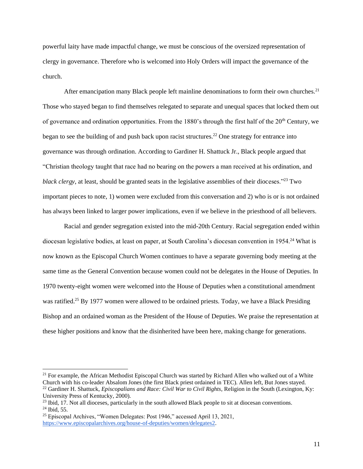powerful laity have made impactful change, we must be conscious of the oversized representation of clergy in governance. Therefore who is welcomed into Holy Orders will impact the governance of the church.

After emancipation many Black people left mainline denominations to form their own churches.<sup>21</sup> Those who stayed began to find themselves relegated to separate and unequal spaces that locked them out of governance and ordination opportunities. From the 1880's through the first half of the  $20<sup>th</sup>$  Century, we began to see the building of and push back upon racist structures.<sup>22</sup> One strategy for entrance into governance was through ordination. According to Gardiner H. Shattuck Jr., Black people argued that "Christian theology taught that race had no bearing on the powers a man received at his ordination, and *black clergy*, at least, should be granted seats in the legislative assemblies of their dioceses.<sup>"23</sup> Two important pieces to note, 1) women were excluded from this conversation and 2) who is or is not ordained has always been linked to larger power implications, even if we believe in the priesthood of all believers.

Racial and gender segregation existed into the mid-20th Century. Racial segregation ended within diocesan legislative bodies, at least on paper, at South Carolina's diocesan convention in 1954.<sup>24</sup> What is now known as the Episcopal Church Women continues to have a separate governing body meeting at the same time as the General Convention because women could not be delegates in the House of Deputies. In 1970 twenty-eight women were welcomed into the House of Deputies when a constitutional amendment was ratified.<sup>25</sup> By 1977 women were allowed to be ordained priests. Today, we have a Black Presiding Bishop and an ordained woman as the President of the House of Deputies. We praise the representation at these higher positions and know that the disinherited have been here, making change for generations.

<sup>&</sup>lt;sup>21</sup> For example, the African Methodist Episcopal Church was started by Richard Allen who walked out of a White Church with his co-leader Absalom Jones (the first Black priest ordained in TEC). Allen left, But Jones stayed. <sup>22</sup> Gardiner H. Shattuck, *Episcopalians and Race: Civil War to Civil Rights*, Religion in the South (Lexington, Ky: University Press of Kentucky, 2000).

<sup>&</sup>lt;sup>23</sup> Ibid, 17. Not all dioceses, particularly in the south allowed Black people to sit at diocesan conventions. <sup>24</sup> Ibid, 55.

<sup>25</sup> Episcopal Archives, "Women Delegates: Post 1946," accessed April 13, 2021[,](https://www.episcopalarchives.org/house-of-deputies/women/delegates2) [https://www.episcopalarchives.org/house-of-deputies/women/delegates2.](https://www.episcopalarchives.org/house-of-deputies/women/delegates2)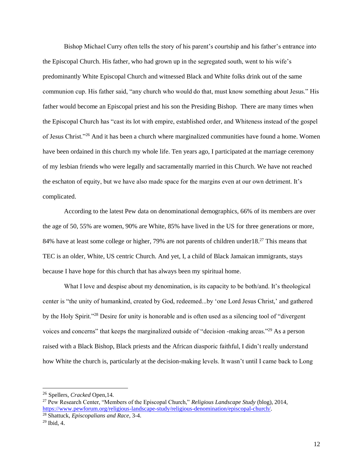Bishop Michael Curry often tells the story of his parent's courtship and his father's entrance into the Episcopal Church. His father, who had grown up in the segregated south, went to his wife's predominantly White Episcopal Church and witnessed Black and White folks drink out of the same communion cup. His father said, "any church who would do that, must know something about Jesus." His father would become an Episcopal priest and his son the Presiding Bishop. There are many times when the Episcopal Church has "cast its lot with empire, established order, and Whiteness instead of the gospel of Jesus Christ."<sup>26</sup> And it has been a church where marginalized communities have found a home. Women have been ordained in this church my whole life. Ten years ago, I participated at the marriage ceremony of my lesbian friends who were legally and sacramentally married in this Church. We have not reached the eschaton of equity, but we have also made space for the margins even at our own detriment. It's complicated.

According to the latest Pew data on denominational demographics, 66% of its members are over the age of 50, 55% are women, 90% are White, 85% have lived in the US for three generations or more, 84% have at least some college or higher, 79% are not parents of children under18.<sup>27</sup> This means that TEC is an older, White, US centric Church. And yet, I, a child of Black Jamaican immigrants, stays because I have hope for this church that has always been my spiritual home.

What I love and despise about my denomination, is its capacity to be both/and. It's theological center is "the unity of humankind, created by God, redeemed...by 'one Lord Jesus Christ,' and gathered by the Holy Spirit."<sup>28</sup> Desire for unity is honorable and is often used as a silencing tool of "divergent voices and concerns" that keeps the marginalized outside of "decision -making areas."<sup>29</sup> As a person raised with a Black Bishop, Black priests and the African diasporic faithful, I didn't really understand how White the church is, particularly at the decision-making levels. It wasn't until I came back to Long

<sup>26</sup> Spellers, *Cracked* Open,14.

<sup>27</sup> Pew Research Center, "Members of the Episcopal Church," *Religious Landscape Study* (blog), 2014, [https://www.pewforum.org/religious-landscape-study/religious-denomination/episcopal-church/.](https://www.pewforum.org/religious-landscape-study/religious-denomination/episcopal-church/)

<sup>28</sup> Shattuck, *Episcopalians and Race*, 3-4.

<sup>29</sup> Ibid, 4.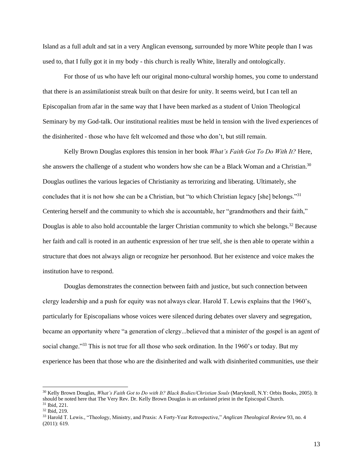Island as a full adult and sat in a very Anglican evensong, surrounded by more White people than I was used to, that I fully got it in my body - this church is really White, literally and ontologically.

For those of us who have left our original mono-cultural worship homes, you come to understand that there is an assimilationist streak built on that desire for unity. It seems weird, but I can tell an Episcopalian from afar in the same way that I have been marked as a student of Union Theological Seminary by my God-talk. Our institutional realities must be held in tension with the lived experiences of the disinherited - those who have felt welcomed and those who don't, but still remain.

Kelly Brown Douglas explores this tension in her book *What's Faith Got To Do With It?* Here, she answers the challenge of a student who wonders how she can be a Black Woman and a Christian.<sup>30</sup> Douglas outlines the various legacies of Christianity as terrorizing and liberating. Ultimately, she concludes that it is not how she can be a Christian, but "to which Christian legacy [she] belongs."<sup>31</sup> Centering herself and the community to which she is accountable, her "grandmothers and their faith," Douglas is able to also hold accountable the larger Christian community to which she belongs.<sup>32</sup> Because her faith and call is rooted in an authentic expression of her true self, she is then able to operate within a structure that does not always align or recognize her personhood. But her existence and voice makes the institution have to respond.

Douglas demonstrates the connection between faith and justice, but such connection between clergy leadership and a push for equity was not always clear. Harold T. Lewis explains that the 1960's, particularly for Episcopalians whose voices were silenced during debates over slavery and segregation, became an opportunity where "a generation of clergy...believed that a minister of the gospel is an agent of social change."<sup>33</sup> This is not true for all those who seek ordination. In the 1960's or today. But my experience has been that those who are the disinherited and walk with disinherited communities, use their

<sup>30</sup> Kelly Brown Douglas, *What's Faith Got to Do with It? Black Bodies/Christian Souls* (Maryknoll, N.Y: Orbis Books, 2005). It should be noted here that The Very Rev. Dr. Kelly Brown Douglas is an ordained priest in the Episcopal Church. <sup>31</sup> Ibid, 221.

<sup>32</sup> Ibid, 219.

<sup>33</sup> Harold T. Lewis., "Theology, Ministry, and Praxis: A Forty-Year Retrospective," *Anglican Theological Review* 93, no. 4 (2011): 619.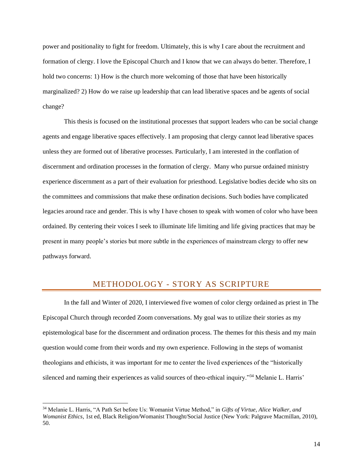power and positionality to fight for freedom. Ultimately, this is why I care about the recruitment and formation of clergy. I love the Episcopal Church and I know that we can always do better. Therefore, I hold two concerns: 1) How is the church more welcoming of those that have been historically marginalized? 2) How do we raise up leadership that can lead liberative spaces and be agents of social change?

This thesis is focused on the institutional processes that support leaders who can be social change agents and engage liberative spaces effectively. I am proposing that clergy cannot lead liberative spaces unless they are formed out of liberative processes. Particularly, I am interested in the conflation of discernment and ordination processes in the formation of clergy. Many who pursue ordained ministry experience discernment as a part of their evaluation for priesthood. Legislative bodies decide who sits on the committees and commissions that make these ordination decisions. Such bodies have complicated legacies around race and gender. This is why I have chosen to speak with women of color who have been ordained. By centering their voices I seek to illuminate life limiting and life giving practices that may be present in many people's stories but more subtle in the experiences of mainstream clergy to offer new pathways forward.

# METHODOLOGY - STORY AS SCRIPTURE

<span id="page-13-0"></span>In the fall and Winter of 2020, I interviewed five women of color clergy ordained as priest in The Episcopal Church through recorded Zoom conversations. My goal was to utilize their stories as my epistemological base for the discernment and ordination process. The themes for this thesis and my main question would come from their words and my own experience. Following in the steps of womanist theologians and ethicists, it was important for me to center the lived experiences of the "historically silenced and naming their experiences as valid sources of theo-ethical inquiry."<sup>34</sup> Melanie L. Harris'

<sup>34</sup> Melanie L. Harris, "A Path Set before Us: Womanist Virtue Method," in *Gifts of Virtue, Alice Walker, and Womanist Ethics*, 1st ed, Black Religion/Womanist Thought/Social Justice (New York: Palgrave Macmillan, 2010), 50.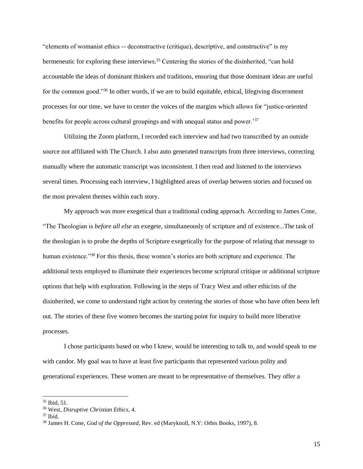"elements of womanist ethics -- deconstructive (critique), descriptive, and constructive" is my hermeneutic for exploring these interviews.<sup>35</sup> Centering the stories of the disinherited, "can hold accountable the ideas of dominant thinkers and traditions, ensuring that those dominant ideas are useful for the common good."<sup>36</sup> In other words, if we are to build equitable, ethical, lifegiving discernment processes for our time, we have to center the voices of the margins which allows for "justice-oriented benefits for people across cultural groupings and with unequal status and power.<sup>37</sup>

Utilizing the Zoom platform, I recorded each interview and had two transcribed by an outside source not affiliated with The Church. I also auto generated transcripts from three interviews, correcting manually where the automatic transcript was inconsistent. I then read and listened to the interviews several times. Processing each interview, I highlighted areas of overlap between stories and focused on the most prevalent themes within each story.

My approach was more exegetical than a traditional coding approach. According to James Cone, "The Theologian is *before all else* an exegete, simultaneously of scripture and of existence...The task of the theologian is to probe the depths of Scripture exegetically for the purpose of relating that message to human existence."<sup>38</sup> For this thesis, these women's stories are both scripture and experience. The additional texts employed to illuminate their experiences become scriptural critique or additional scripture options that help with exploration. Following in the steps of Tracy West and other ethicists of the disinherited, we come to understand right action by centering the stories of those who have often been left out. The stories of these five women becomes the starting point for inquiry to build more liberative processes.

I chose participants based on who I knew, would be interesting to talk to, and would speak to me with candor. My goal was to have at least five participants that represented various polity and generational experiences. These women are meant to be representative of themselves. They offer a

 $35$  Ibid,  $51$ .

<sup>36</sup> West, *Disruptive Christian Ethics*, 4.

<sup>37</sup> Ibid.

<sup>38</sup> James H. Cone, *God of the Oppressed*, Rev. ed (Maryknoll, N.Y: Orbis Books, 1997), 8.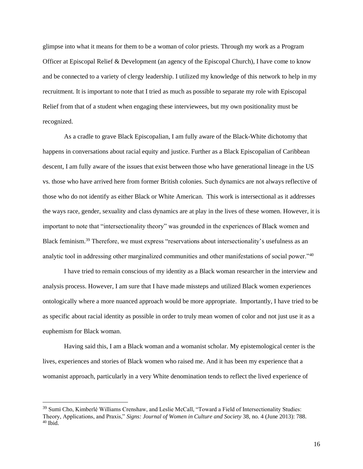glimpse into what it means for them to be a woman of color priests. Through my work as a Program Officer at Episcopal Relief & Development (an agency of the Episcopal Church), I have come to know and be connected to a variety of clergy leadership. I utilized my knowledge of this network to help in my recruitment. It is important to note that I tried as much as possible to separate my role with Episcopal Relief from that of a student when engaging these interviewees, but my own positionality must be recognized.

As a cradle to grave Black Episcopalian, I am fully aware of the Black-White dichotomy that happens in conversations about racial equity and justice. Further as a Black Episcopalian of Caribbean descent, I am fully aware of the issues that exist between those who have generational lineage in the US vs. those who have arrived here from former British colonies. Such dynamics are not always reflective of those who do not identify as either Black or White American. This work is intersectional as it addresses the ways race, gender, sexuality and class dynamics are at play in the lives of these women. However, it is important to note that "intersectionality theory" was grounded in the experiences of Black women and Black feminism.<sup>39</sup> Therefore, we must express "reservations about intersectionality's usefulness as an analytic tool in addressing other marginalized communities and other manifestations of social power."<sup>40</sup>

I have tried to remain conscious of my identity as a Black woman researcher in the interview and analysis process. However, I am sure that I have made missteps and utilized Black women experiences ontologically where a more nuanced approach would be more appropriate. Importantly, I have tried to be as specific about racial identity as possible in order to truly mean women of color and not just use it as a euphemism for Black woman.

Having said this, I am a Black woman and a womanist scholar. My epistemological center is the lives, experiences and stories of Black women who raised me. And it has been my experience that a womanist approach, particularly in a very White denomination tends to reflect the lived experience of

<sup>&</sup>lt;sup>39</sup> Sumi Cho, Kimberlé Williams Crenshaw, and Leslie McCall, "Toward a Field of Intersectionality Studies: Theory, Applications, and Praxis," *Signs: Journal of Women in Culture and Society* 38, no. 4 (June 2013): 788.  $40$  Ibid.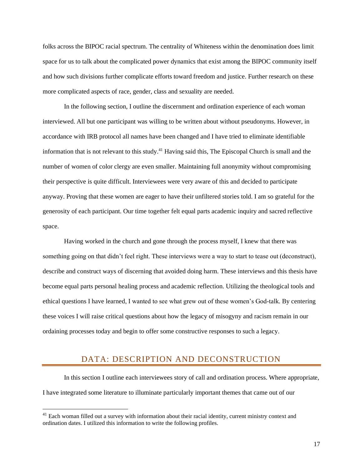folks across the BIPOC racial spectrum. The centrality of Whiteness within the denomination does limit space for us to talk about the complicated power dynamics that exist among the BIPOC community itself and how such divisions further complicate efforts toward freedom and justice. Further research on these more complicated aspects of race, gender, class and sexuality are needed.

In the following section, I outline the discernment and ordination experience of each woman interviewed. All but one participant was willing to be written about without pseudonyms. However, in accordance with IRB protocol all names have been changed and I have tried to eliminate identifiable information that is not relevant to this study.<sup>41</sup> Having said this, The Episcopal Church is small and the number of women of color clergy are even smaller. Maintaining full anonymity without compromising their perspective is quite difficult. Interviewees were very aware of this and decided to participate anyway. Proving that these women are eager to have their unfiltered stories told. I am so grateful for the generosity of each participant. Our time together felt equal parts academic inquiry and sacred reflective space.

Having worked in the church and gone through the process myself, I knew that there was something going on that didn't feel right. These interviews were a way to start to tease out (deconstruct), describe and construct ways of discerning that avoided doing harm. These interviews and this thesis have become equal parts personal healing process and academic reflection. Utilizing the theological tools and ethical questions I have learned, I wanted to see what grew out of these women's God-talk. By centering these voices I will raise critical questions about how the legacy of misogyny and racism remain in our ordaining processes today and begin to offer some constructive responses to such a legacy.

# DATA: DESCRIPTION AND DECONSTRUCTION

<span id="page-16-0"></span>In this section I outline each interviewees story of call and ordination process. Where appropriate, I have integrated some literature to illuminate particularly important themes that came out of our

<sup>&</sup>lt;sup>41</sup> Each woman filled out a survey with information about their racial identity, current ministry context and ordination dates. I utilized this information to write the following profiles.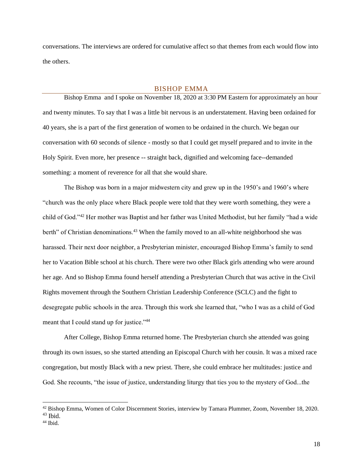conversations. The interviews are ordered for cumulative affect so that themes from each would flow into the others.

### BISHOP EMMA

<span id="page-17-0"></span>Bishop Emma and I spoke on November 18, 2020 at 3:30 PM Eastern for approximately an hour and twenty minutes. To say that I was a little bit nervous is an understatement. Having been ordained for 40 years, she is a part of the first generation of women to be ordained in the church. We began our conversation with 60 seconds of silence - mostly so that I could get myself prepared and to invite in the Holy Spirit. Even more, her presence -- straight back, dignified and welcoming face--demanded something: a moment of reverence for all that she would share.

The Bishop was born in a major midwestern city and grew up in the 1950's and 1960's where "church was the only place where Black people were told that they were worth something, they were a child of God."<sup>42</sup> Her mother was Baptist and her father was United Methodist, but her family "had a wide berth" of Christian denominations.<sup>43</sup> When the family moved to an all-white neighborhood she was harassed. Their next door neighbor, a Presbyterian minister, encouraged Bishop Emma's family to send her to Vacation Bible school at his church. There were two other Black girls attending who were around her age. And so Bishop Emma found herself attending a Presbyterian Church that was active in the Civil Rights movement through the Southern Christian Leadership Conference (SCLC) and the fight to desegregate public schools in the area. Through this work she learned that, "who I was as a child of God meant that I could stand up for justice."<sup>44</sup>

After College, Bishop Emma returned home. The Presbyterian church she attended was going through its own issues, so she started attending an Episcopal Church with her cousin. It was a mixed race congregation, but mostly Black with a new priest. There, she could embrace her multitudes: justice and God. She recounts, "the issue of justice, understanding liturgy that ties you to the mystery of God...the

<sup>&</sup>lt;sup>42</sup> Bishop Emma, Women of Color Discernment Stories, interview by Tamara Plummer, Zoom, November 18, 2020.  $43$  Ibid.

 $44$  Ibid.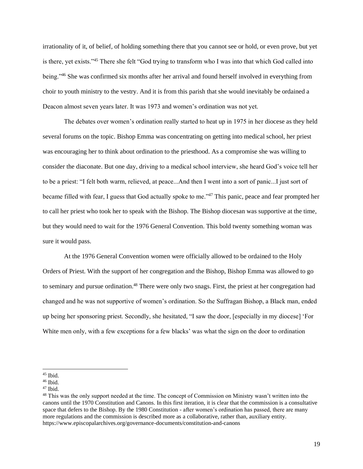irrationality of it, of belief, of holding something there that you cannot see or hold, or even prove, but yet is there, yet exists."<sup>45</sup> There she felt "God trying to transform who I was into that which God called into being."<sup>46</sup> She was confirmed six months after her arrival and found herself involved in everything from choir to youth ministry to the vestry. And it is from this parish that she would inevitably be ordained a Deacon almost seven years later. It was 1973 and women's ordination was not yet.

The debates over women's ordination really started to heat up in 1975 in her diocese as they held several forums on the topic. Bishop Emma was concentrating on getting into medical school, her priest was encouraging her to think about ordination to the priesthood. As a compromise she was willing to consider the diaconate. But one day, driving to a medical school interview, she heard God's voice tell her to be a priest: "I felt both warm, relieved, at peace...And then I went into a sort of panic...I just sort of became filled with fear, I guess that God actually spoke to me."<sup>47</sup> This panic, peace and fear prompted her to call her priest who took her to speak with the Bishop. The Bishop diocesan was supportive at the time, but they would need to wait for the 1976 General Convention. This bold twenty something woman was sure it would pass.

At the 1976 General Convention women were officially allowed to be ordained to the Holy Orders of Priest. With the support of her congregation and the Bishop, Bishop Emma was allowed to go to seminary and pursue ordination.<sup>48</sup> There were only two snags. First, the priest at her congregation had changed and he was not supportive of women's ordination. So the Suffragan Bishop, a Black man, ended up being her sponsoring priest. Secondly, she hesitated, "I saw the door, [especially in my diocese] 'For White men only, with a few exceptions for a few blacks' was what the sign on the door to ordination

 $45$  Ibid.

 $46$  Ibid.

<sup>47</sup> Ibid.

<sup>&</sup>lt;sup>48</sup> This was the only support needed at the time. The concept of Commission on Ministry wasn't written into the canons until the 1970 Constitution and Canons. In this first iteration, it is clear that the commission is a consultative space that defers to the Bishop. By the 1980 Constitution - after women's ordination has passed, there are many more regulations and the commission is described more as a collaborative, rather than, auxiliary entity. https://www.episcopalarchives.org/governance-documents/constitution-and-canons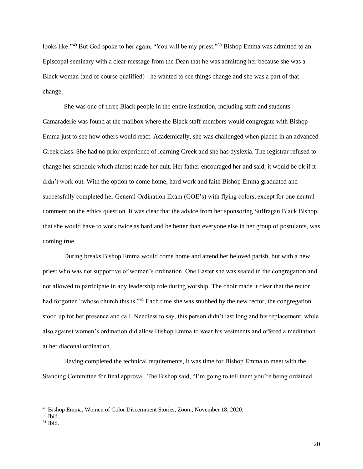looks like."<sup>49</sup> But God spoke to her again, "You will be my priest."<sup>50</sup> Bishop Emma was admitted to an Episcopal seminary with a clear message from the Dean that he was admitting her because she was a Black woman (and of course qualified) - he wanted to see things change and she was a part of that change.

She was one of three Black people in the entire institution, including staff and students. Camaraderie was found at the mailbox where the Black staff members would congregate with Bishop Emma just to see how others would react. Academically, she was challenged when placed in an advanced Greek class. She had no prior experience of learning Greek and she has dyslexia. The registrar refused to change her schedule which almost made her quit. Her father encouraged her and said, it would be ok if it didn't work out. With the option to come home, hard work and faith Bishop Emma graduated and successfully completed her General Ordination Exam (GOE's) with flying colors, except for one neutral comment on the ethics question. It was clear that the advice from her sponsoring Suffragan Black Bishop, that she would have to work twice as hard and be better than everyone else in her group of postulants, was coming true.

During breaks Bishop Emma would come home and attend her beloved parish, but with a new priest who was not supportive of women's ordination. One Easter she was seated in the congregation and not allowed to participate in any leadership role during worship. The choir made it clear that the rector had forgotten "whose church this is."<sup>51</sup> Each time she was snubbed by the new rector, the congregation stood up for her presence and call. Needless to say, this person didn't last long and his replacement, while also against women's ordination did allow Bishop Emma to wear his vestments and offered a meditation at her diaconal ordination.

Having completed the technical requirements, it was time for Bishop Emma to meet with the Standing Committee for final approval. The Bishop said, "I'm going to tell them you're being ordained.

<sup>49</sup> Bishop Emma, Women of Color Discernment Stories, Zoom, November 18, 2020.

<sup>50</sup> Ibid.

 $51$  Ibid.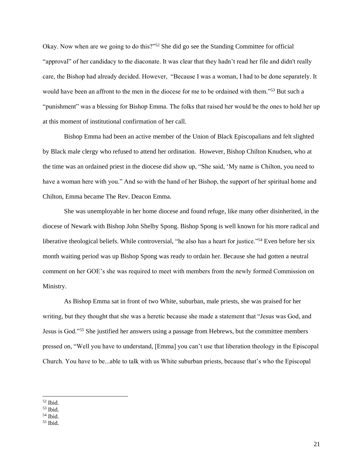Okay. Now when are we going to do this?"<sup>52</sup> She did go see the Standing Committee for official "approval" of her candidacy to the diaconate. It was clear that they hadn't read her file and didn't really care, the Bishop had already decided. However, "Because I was a woman, I had to be done separately. It would have been an affront to the men in the diocese for me to be ordained with them."<sup>53</sup> But such a "punishment" was a blessing for Bishop Emma. The folks that raised her would be the ones to hold her up at this moment of institutional confirmation of her call.

Bishop Emma had been an active member of the Union of Black Episcopalians and felt slighted by Black male clergy who refused to attend her ordination. However, Bishop Chilton Knudsen, who at the time was an ordained priest in the diocese did show up, "She said, 'My name is Chilton, you need to have a woman here with you." And so with the hand of her Bishop, the support of her spiritual home and Chilton, Emma became The Rev. Deacon Emma.

She was unemployable in her home diocese and found refuge, like many other disinherited, in the diocese of Newark with Bishop John Shelby Spong. Bishop Spong is well known for his more radical and liberative theological beliefs. While controversial, "he also has a heart for justice."<sup>54</sup> Even before her six month waiting period was up Bishop Spong was ready to ordain her. Because she had gotten a neutral comment on her GOE's she was required to meet with members from the newly formed Commission on Ministry.

As Bishop Emma sat in front of two White, suburban, male priests, she was praised for her writing, but they thought that she was a heretic because she made a statement that "Jesus was God, and Jesus is God."<sup>55</sup> She justified her answers using a passage from Hebrews, but the committee members pressed on, "Well you have to understand, [Emma] you can't use that liberation theology in the Episcopal Church. You have to be...able to talk with us White suburban priests, because that's who the Episcopal

 $52$  Ibid.

<sup>53</sup> Ibid.

<sup>54</sup> Ibid.

 $55$  Ibid.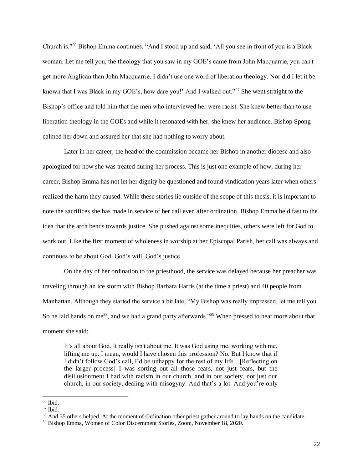Church is."<sup>56</sup> Bishop Emma continues, "And I stood up and said, 'All you see in front of you is a Black woman. Let me tell you, the theology that you saw in my GOE's came from John Macquarrie, you can't get more Anglican than John Macquarrie. I didn't use one word of liberation theology. Nor did I let it be known that I was Black in my GOE's, how dare you!' And I walked out."<sup>57</sup> She went straight to the Bishop's office and told him that the men who interviewed her were racist. She knew better than to use liberation theology in the GOEs and while it resonated with her, she knew her audience. Bishop Spong calmed her down and assured her that she had nothing to worry about.

Later in her career, the head of the commission became her Bishop in another diocese and also apologized for how she was treated during her process. This is just one example of how, during her career, Bishop Emma has not let her dignity be questioned and found vindication years later when others realized the harm they caused. While these stories lie outside of the scope of this thesis, it is important to note the sacrifices she has made in service of her call even after ordination. Bishop Emma held fast to the idea that the arch bends towards justice. She pushed against some inequities, others were left for God to work out. Like the first moment of wholeness in worship at her Episcopal Parish, her call was always and continues to be about God: God's will, God's justice.

On the day of her ordination to the priesthood, the service was delayed because her preacher was traveling through an ice storm with Bishop Barbara Harris (at the time a priest) and 40 people from Manhattan. Although they started the service a bit late, "My Bishop was really impressed, let me tell you. So he laid hands on me<sup>58</sup>, and we had a grand party afterwards."<sup>59</sup> When pressed to hear more about that moment she said:

It's all about God. It really isn't about me. It was God using me, working with me, lifting me up. I mean, would I have chosen this profession? No. But I know that if I didn't follow God's call, I'd be unhappy for the rest of my life…[Reflecting on the larger process] I was sorting out all those fears, not just fears, but the disillusionment I had with racism in our church, and in our society, not just our church, in our society, dealing with misogyny. And that's a lot. And you're only

<sup>56</sup> Ibid.

<sup>57</sup> Ibid.

<sup>58</sup> And 35 others helped. At the moment of Ordination other priest gather around to lay hands on the candidate.

<sup>59</sup> Bishop Emma, Women of Color Discernment Stories, Zoom, November 18, 2020.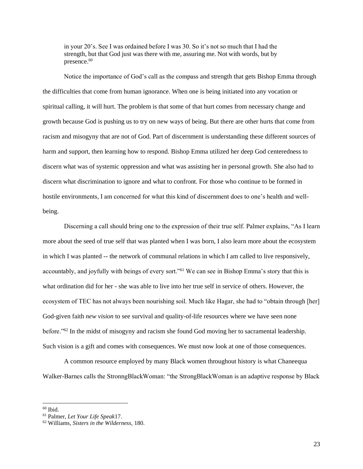in your 20's. See I was ordained before I was 30. So it's not so much that I had the strength, but that God just was there with me, assuring me. Not with words, but by presence. $60$ 

Notice the importance of God's call as the compass and strength that gets Bishop Emma through the difficulties that come from human ignorance. When one is being initiated into any vocation or spiritual calling, it will hurt. The problem is that some of that hurt comes from necessary change and growth because God is pushing us to try on new ways of being. But there are other hurts that come from racism and misogyny that are not of God. Part of discernment is understanding these different sources of harm and support, then learning how to respond. Bishop Emma utilized her deep God centeredness to discern what was of systemic oppression and what was assisting her in personal growth. She also had to discern what discrimination to ignore and what to confront. For those who continue to be formed in hostile environments, I am concerned for what this kind of discernment does to one's health and wellbeing.

Discerning a call should bring one to the expression of their true self. Palmer explains, "As I learn more about the seed of true self that was planted when I was born, I also learn more about the ecosystem in which I was planted -- the network of communal relations in which I am called to live responsively, accountably, and joyfully with beings of every sort."<sup>61</sup> We can see in Bishop Emma's story that this is what ordination did for her - she was able to live into her true self in service of others. However, the ecosystem of TEC has not always been nourishing soil. Much like Hagar, she had to "obtain through [her] God-given faith *new vision* to see survival and quality-of-life resources where we have seen none before."<sup>62</sup> In the midst of misogyny and racism she found God moving her to sacramental leadership. Such vision is a gift and comes with consequences. We must now look at one of those consequences.

A common resource employed by many Black women throughout history is what Chaneequa Walker-Barnes calls the StronngBlackWoman: "the StrongBlackWoman is an adaptive response by Black

 $^{60}$  Ibid.

<sup>61</sup> Palmer, *Let Your Life Speak*17.

<sup>62</sup> Williams, *Sisters in the Wilderness,* 180.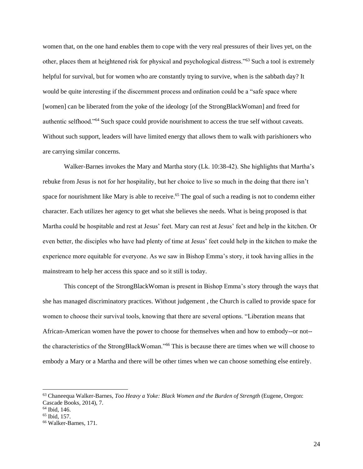women that, on the one hand enables them to cope with the very real pressures of their lives yet, on the other, places them at heightened risk for physical and psychological distress."<sup>63</sup> Such a tool is extremely helpful for survival, but for women who are constantly trying to survive, when is the sabbath day? It would be quite interesting if the discernment process and ordination could be a "safe space where [women] can be liberated from the yoke of the ideology [of the StrongBlackWoman] and freed for authentic selfhood."<sup>64</sup> Such space could provide nourishment to access the true self without caveats. Without such support, leaders will have limited energy that allows them to walk with parishioners who are carrying similar concerns.

Walker-Barnes invokes the Mary and Martha story (Lk. 10:38-42). She highlights that Martha's rebuke from Jesus is not for her hospitality, but her choice to live so much in the doing that there isn't space for nourishment like Mary is able to receive.<sup>65</sup> The goal of such a reading is not to condemn either character. Each utilizes her agency to get what she believes she needs. What is being proposed is that Martha could be hospitable and rest at Jesus' feet. Mary can rest at Jesus' feet and help in the kitchen. Or even better, the disciples who have had plenty of time at Jesus' feet could help in the kitchen to make the experience more equitable for everyone. As we saw in Bishop Emma's story, it took having allies in the mainstream to help her access this space and so it still is today.

This concept of the StrongBlackWoman is present in Bishop Emma's story through the ways that she has managed discriminatory practices. Without judgement , the Church is called to provide space for women to choose their survival tools, knowing that there are several options. "Liberation means that African-American women have the power to choose for themselves when and how to embody--or not- the characteristics of the StrongBlackWoman."<sup>66</sup> This is because there are times when we will choose to embody a Mary or a Martha and there will be other times when we can choose something else entirely.

<sup>63</sup> Chaneequa Walker-Barnes, *Too Heavy a Yoke: Black Women and the Burden of Strength* (Eugene, Oregon: Cascade Books, 2014), 7.

<sup>64</sup> Ibid, 146.

<sup>65</sup> Ibid, 157.

<sup>66</sup> Walker-Barnes, 171.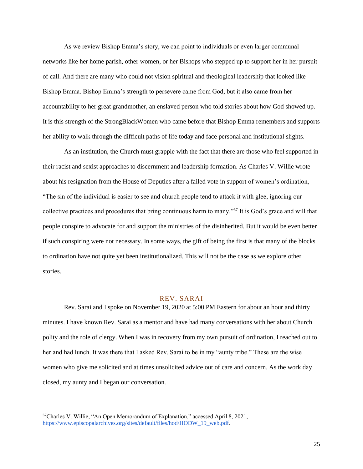As we review Bishop Emma's story, we can point to individuals or even larger communal networks like her home parish, other women, or her Bishops who stepped up to support her in her pursuit of call. And there are many who could not vision spiritual and theological leadership that looked like Bishop Emma. Bishop Emma's strength to persevere came from God, but it also came from her accountability to her great grandmother, an enslaved person who told stories about how God showed up. It is this strength of the StrongBlackWomen who came before that Bishop Emma remembers and supports her ability to walk through the difficult paths of life today and face personal and institutional slights.

As an institution, the Church must grapple with the fact that there are those who feel supported in their racist and sexist approaches to discernment and leadership formation. As Charles V. Willie wrote about his resignation from the House of Deputies after a failed vote in support of women's ordination, "The sin of the individual is easier to see and church people tend to attack it with glee, ignoring our collective practices and procedures that bring continuous harm to many."<sup>67</sup> It is God's grace and will that people conspire to advocate for and support the ministries of the disinherited. But it would be even better if such conspiring were not necessary. In some ways, the gift of being the first is that many of the blocks to ordination have not quite yet been institutionalized. This will not be the case as we explore other stories.

#### REV. SARAI

<span id="page-24-0"></span>Rev. Sarai and I spoke on November 19, 2020 at 5:00 PM Eastern for about an hour and thirty minutes. I have known Rev. Sarai as a mentor and have had many conversations with her about Church polity and the role of clergy. When I was in recovery from my own pursuit of ordination, I reached out to her and had lunch. It was there that I asked Rev. Sarai to be in my "aunty tribe." These are the wise women who give me solicited and at times unsolicited advice out of care and concern. As the work day closed, my aunty and I began our conversation.

<sup>67</sup>Charles V. Willie, "An Open Memorandum of Explanation," accessed April 8, 2021[,](https://www.episcopalarchives.org/sites/default/files/hod/HODW_19_web.pdf) [https://www.episcopalarchives.org/sites/default/files/hod/HODW\\_19\\_web.pdf.](https://www.episcopalarchives.org/sites/default/files/hod/HODW_19_web.pdf)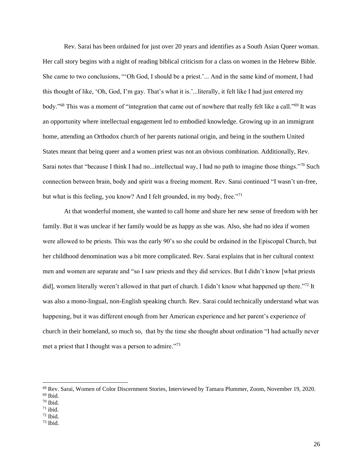Rev. Sarai has been ordained for just over 20 years and identifies as a South Asian Queer woman. Her call story begins with a night of reading biblical criticism for a class on women in the Hebrew Bible. She came to two conclusions, "'Oh God, I should be a priest.'... And in the same kind of moment, I had this thought of like, 'Oh, God, I'm gay. That's what it is.'...literally, it felt like I had just entered my body."<sup>68</sup> This was a moment of "integration that came out of nowhere that really felt like a call."<sup>69</sup> It was an opportunity where intellectual engagement led to embodied knowledge. Growing up in an immigrant home, attending an Orthodox church of her parents national origin, and being in the southern United States meant that being queer and a women priest was not an obvious combination. Additionally, Rev. Sarai notes that "because I think I had no...intellectual way, I had no path to imagine those things."<sup>70</sup> Such connection between brain, body and spirit was a freeing moment. Rev. Sarai continued "I wasn't un-free, but what is this feeling, you know? And I felt grounded, in my body, free."<sup>71</sup>

At that wonderful moment, she wanted to call home and share her new sense of freedom with her family. But it was unclear if her family would be as happy as she was. Also, she had no idea if women were allowed to be priests. This was the early 90's so she could be ordained in the Episcopal Church, but her childhood denomination was a bit more complicated. Rev. Sarai explains that in her cultural context men and women are separate and "so I saw priests and they did services. But I didn't know [what priests did], women literally weren't allowed in that part of church. I didn't know what happened up there."<sup>72</sup> It was also a mono-lingual, non-English speaking church. Rev. Sarai could technically understand what was happening, but it was different enough from her American experience and her parent's experience of church in their homeland, so much so, that by the time she thought about ordination "I had actually never met a priest that I thought was a person to admire."<sup>73</sup>

<sup>68</sup> Rev. Sarai, Women of Color Discernment Stories, Interviewed by Tamara Plummer, Zoom, November 19, 2020. <sup>69</sup> Ibid.

<sup>70</sup> Ibid.

 $71$  ibid.

 $72$  Ibid.

 $73$  Ibid.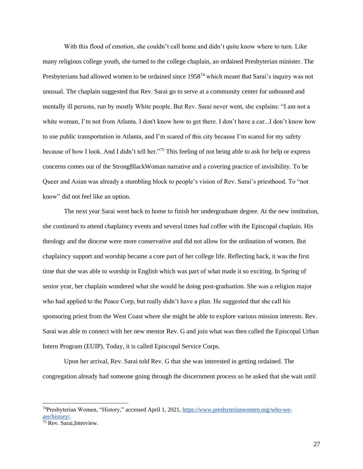With this flood of emotion, she couldn't call home and didn't quite know where to turn. Like many religious college youth, she turned to the college chaplain, an ordained Presbyterian minister. The Presbyterians had allowed women to be ordained since  $1958<sup>74</sup>$  which meant that Sarai's inquiry was not unusual. The chaplain suggested that Rev. Sarai go to serve at a community center for unhoused and mentally ill persons, run by mostly White people. But Rev. Sarai never went, she explains: "I am not a white woman, I'm not from Atlanta. I don't know how to get there. I don't have a car...I don't know how to use public transportation in Atlanta, and I'm scared of this city because I'm scared for my safety because of how I look. And I didn't tell her."<sup>75</sup> This feeling of not being able to ask for help or express concerns comes out of the StrongBlackWoman narrative and a covering practice of invisibility. To be Queer and Asian was already a stumbling block to people's vision of Rev. Sarai's priesthood. To "not know" did not feel like an option.

The next year Sarai went back to home to finish her undergraduate degree. At the new institution, she continued to attend chaplaincy events and several times had coffee with the Episcopal chaplain. His theology and the diocese were more conservative and did not allow for the ordination of women. But chaplaincy support and worship became a core part of her college life. Reflecting back, it was the first time that she was able to worship in English which was part of what made it so exciting. In Spring of senior year, her chaplain wondered what she would be doing post-graduation. She was a religion major who had applied to the Peace Corp, but really didn't have a plan. He suggested that she call his sponsoring priest from the West Coast where she might be able to explore various mission interests. Rev. Sarai was able to connect with her new mentor Rev. G and join what was then called the Episcopal Urban Intern Program (EUIP). Today, it is called Episcopal Service Corps.

Upon her arrival, Rev. Sarai told Rev. G that she was interested in getting ordained. The congregation already had someone going through the discernment process so he asked that she wait until

<sup>74</sup>Presbyterian Women, "History," accessed April 1, 2021[,](https://www.presbyterianwomen.org/who-we-are/history/) [https://www.presbyterianwomen.org/who-we](https://www.presbyterianwomen.org/who-we-are/history/)[are/history/.](https://www.presbyterianwomen.org/who-we-are/history/)

<sup>&</sup>lt;sup>75</sup> Rev. Sarai, Interview.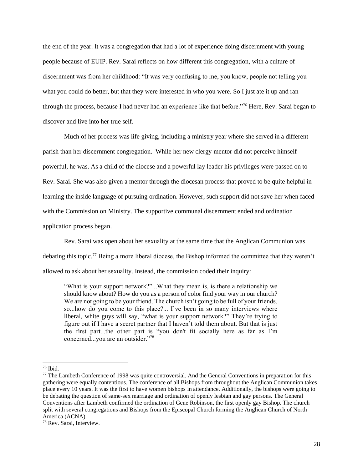the end of the year. It was a congregation that had a lot of experience doing discernment with young people because of EUIP. Rev. Sarai reflects on how different this congregation, with a culture of discernment was from her childhood: "It was very confusing to me, you know, people not telling you what you could do better, but that they were interested in who you were. So I just ate it up and ran through the process, because I had never had an experience like that before."<sup>76</sup> Here, Rev. Sarai began to discover and live into her true self.

Much of her process was life giving, including a ministry year where she served in a different parish than her discernment congregation. While her new clergy mentor did not perceive himself powerful, he was. As a child of the diocese and a powerful lay leader his privileges were passed on to Rev. Sarai. She was also given a mentor through the diocesan process that proved to be quite helpful in learning the inside language of pursuing ordination. However, such support did not save her when faced with the Commission on Ministry. The supportive communal discernment ended and ordination application process began.

Rev. Sarai was open about her sexuality at the same time that the Anglican Communion was debating this topic.<sup>77</sup> Being a more liberal diocese, the Bishop informed the committee that they weren't allowed to ask about her sexuality. Instead, the commission coded their inquiry:

"What is your support network?"...What they mean is, is there a relationship we should know about? How do you as a person of color find your way in our church? We are not going to be your friend. The church isn't going to be full of your friends, so...how do you come to this place?... I've been in so many interviews where liberal, white guys will say, "what is your support network?" They're trying to figure out if I have a secret partner that I haven't told them about. But that is just the first part...the other part is "you don't fit socially here as far as I'm concerned...you are an outsider."<sup>78</sup>

<sup>76</sup> Ibid.

<sup>77</sup> The Lambeth Conference of 1998 was quite controversial. And the General Conventions in preparation for this gathering were equally contentious. The conference of all Bishops from throughout the Anglican Communion takes place every 10 years. It was the first to have women bishops in attendance. Additionally, the bishops were going to be debating the question of same-sex marriage and ordination of openly lesbian and gay persons. The General Conventions after Lambeth confirmed the ordination of Gene Robinson, the first openly gay Bishop. The church split with several congregations and Bishops from the Episcopal Church forming the Anglican Church of North America (ACNA).

<sup>78</sup> Rev. Sarai, Interview.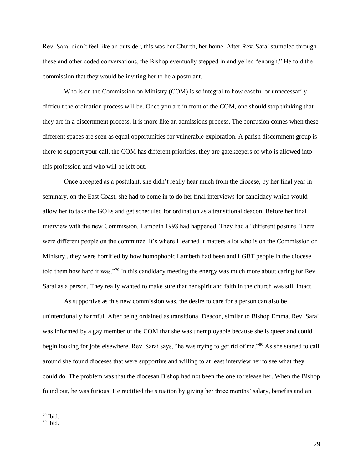Rev. Sarai didn't feel like an outsider, this was her Church, her home. After Rev. Sarai stumbled through these and other coded conversations, the Bishop eventually stepped in and yelled "enough." He told the commission that they would be inviting her to be a postulant.

Who is on the Commission on Ministry (COM) is so integral to how easeful or unnecessarily difficult the ordination process will be. Once you are in front of the COM, one should stop thinking that they are in a discernment process. It is more like an admissions process. The confusion comes when these different spaces are seen as equal opportunities for vulnerable exploration. A parish discernment group is there to support your call, the COM has different priorities, they are gatekeepers of who is allowed into this profession and who will be left out.

Once accepted as a postulant, she didn't really hear much from the diocese, by her final year in seminary, on the East Coast, she had to come in to do her final interviews for candidacy which would allow her to take the GOEs and get scheduled for ordination as a transitional deacon. Before her final interview with the new Commission, Lambeth 1998 had happened. They had a "different posture. There were different people on the committee. It's where I learned it matters a lot who is on the Commission on Ministry...they were horrified by how homophobic Lambeth had been and LGBT people in the diocese told them how hard it was."<sup>79</sup> In this candidacy meeting the energy was much more about caring for Rev. Sarai as a person. They really wanted to make sure that her spirit and faith in the church was still intact.

As supportive as this new commission was, the desire to care for a person can also be unintentionally harmful. After being ordained as transitional Deacon, similar to Bishop Emma, Rev. Sarai was informed by a gay member of the COM that she was unemployable because she is queer and could begin looking for jobs elsewhere. Rev. Sarai says, "he was trying to get rid of me."<sup>80</sup> As she started to call around she found dioceses that were supportive and willing to at least interview her to see what they could do. The problem was that the diocesan Bishop had not been the one to release her. When the Bishop found out, he was furious. He rectified the situation by giving her three months' salary, benefits and an

<sup>79</sup> Ibid.

 $80$  Ibid.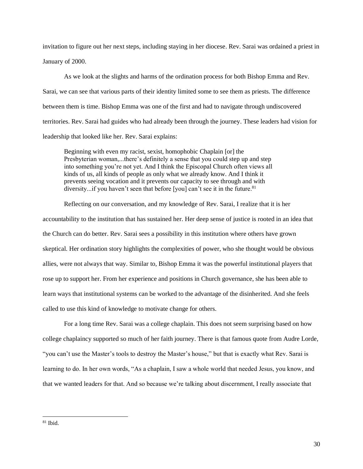invitation to figure out her next steps, including staying in her diocese. Rev. Sarai was ordained a priest in January of 2000.

As we look at the slights and harms of the ordination process for both Bishop Emma and Rev. Sarai, we can see that various parts of their identity limited some to see them as priests. The difference between them is time. Bishop Emma was one of the first and had to navigate through undiscovered territories. Rev. Sarai had guides who had already been through the journey. These leaders had vision for leadership that looked like her. Rev. Sarai explains:

Beginning with even my racist, sexist, homophobic Chaplain [or] the Presbyterian woman,...there's definitely a sense that you could step up and step into something you're not yet. And I think the Episcopal Church often views all kinds of us, all kinds of people as only what we already know. And I think it prevents seeing vocation and it prevents our capacity to see through and with diversity...if you haven't seen that before [you] can't see it in the future.<sup>81</sup>

Reflecting on our conversation, and my knowledge of Rev. Sarai, I realize that it is her accountability to the institution that has sustained her. Her deep sense of justice is rooted in an idea that the Church can do better. Rev. Sarai sees a possibility in this institution where others have grown skeptical. Her ordination story highlights the complexities of power, who she thought would be obvious allies, were not always that way. Similar to, Bishop Emma it was the powerful institutional players that rose up to support her. From her experience and positions in Church governance, she has been able to learn ways that institutional systems can be worked to the advantage of the disinherited. And she feels called to use this kind of knowledge to motivate change for others.

For a long time Rev. Sarai was a college chaplain. This does not seem surprising based on how college chaplaincy supported so much of her faith journey. There is that famous quote from Audre Lorde, "you can't use the Master's tools to destroy the Master's house," but that is exactly what Rev. Sarai is learning to do. In her own words, "As a chaplain, I saw a whole world that needed Jesus, you know, and that we wanted leaders for that. And so because we're talking about discernment, I really associate that

 $81$  Ibid.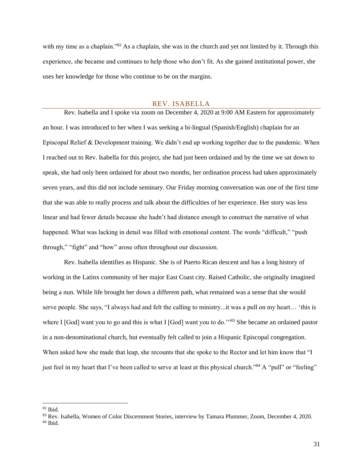with my time as a chaplain."<sup>82</sup> As a chaplain, she was in the church and yet not limited by it. Through this experience, she became and continues to help those who don't fit. As she gained institutional power, she uses her knowledge for those who continue to be on the margins.

#### REV. ISABELLA

<span id="page-30-0"></span>Rev. Isabella and I spoke via zoom on December 4, 2020 at 9:00 AM Eastern for approximately an hour. I was introduced to her when I was seeking a bi-lingual (Spanish/English) chaplain for an Episcopal Relief & Development training. We didn't end up working together due to the pandemic. When I reached out to Rev. Isabella for this project, she had just been ordained and by the time we sat down to speak, she had only been ordained for about two months, her ordination process had taken approximately seven years, and this did not include seminary. Our Friday morning conversation was one of the first time that she was able to really process and talk about the difficulties of her experience. Her story was less linear and had fewer details because she hadn't had distance enough to construct the narrative of what happened. What was lacking in detail was filled with emotional content. The words "difficult," "push through," "fight" and "how" arose often throughout our discussion.

Rev. Isabella identifies as Hispanic. She is of Puerto Rican descent and has a long history of working in the Latinx community of her major East Coast city. Raised Catholic, she originally imagined being a nun. While life brought her down a different path, what remained was a sense that she would serve people. She says, "I always had and felt the calling to ministry...it was a pull on my heart… 'this is where I [God] want you to go and this is what I [God] want you to do.'"83 She became an ordained pastor in a non-denominational church, but eventually felt called to join a Hispanic Episcopal congregation. When asked how she made that leap, she recounts that she spoke to the Rector and let him know that "I just feel in my heart that I've been called to serve at least at this physical church."<sup>84</sup> A "pull" or "feeling"

 $82$  Ibid.

<sup>83</sup> Rev. Isabella, Women of Color Discernment Stories, interview by Tamara Plummer, Zoom, December 4, 2020.

 $84$  Ibid.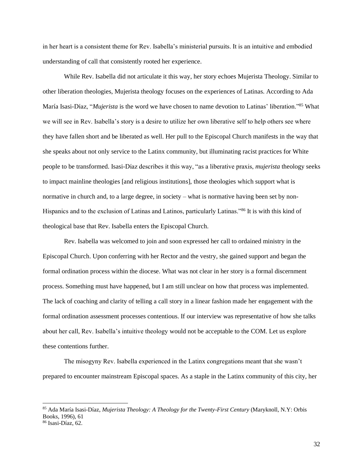in her heart is a consistent theme for Rev. Isabella's ministerial pursuits. It is an intuitive and embodied understanding of call that consistently rooted her experience.

While Rev. Isabella did not articulate it this way, her story echoes Mujerista Theology. Similar to other liberation theologies, Mujerista theology focuses on the experiences of Latinas. According to Ada María Isasi-Díaz, "*Mujerista* is the word we have chosen to name devotion to Latinas' liberation."<sup>85</sup> What we will see in Rev. Isabella's story is a desire to utilize her own liberative self to help others see where they have fallen short and be liberated as well. Her pull to the Episcopal Church manifests in the way that she speaks about not only service to the Latinx community, but illuminating racist practices for White people to be transformed. Isasi-Díaz describes it this way, "as a liberative praxis, *mujerista* theology seeks to impact mainline theologies [and religious institutions], those theologies which support what is normative in church and, to a large degree, in society – what is normative having been set by non-Hispanics and to the exclusion of Latinas and Latinos, particularly Latinas."<sup>86</sup> It is with this kind of theological base that Rev. Isabella enters the Episcopal Church.

Rev. Isabella was welcomed to join and soon expressed her call to ordained ministry in the Episcopal Church. Upon conferring with her Rector and the vestry, she gained support and began the formal ordination process within the diocese. What was not clear in her story is a formal discernment process. Something must have happened, but I am still unclear on how that process was implemented. The lack of coaching and clarity of telling a call story in a linear fashion made her engagement with the formal ordination assessment processes contentious. If our interview was representative of how she talks about her call, Rev. Isabella's intuitive theology would not be acceptable to the COM. Let us explore these contentions further.

The misogyny Rev. Isabella experienced in the Latinx congregations meant that she wasn't prepared to encounter mainstream Episcopal spaces. As a staple in the Latinx community of this city, her

<sup>85</sup> Ada María Isasi-Díaz, *Mujerista Theology: A Theology for the Twenty-First Century* (Maryknoll, N.Y: Orbis Books, 1996), 61 <sup>86</sup> Isasi-Díaz, 62.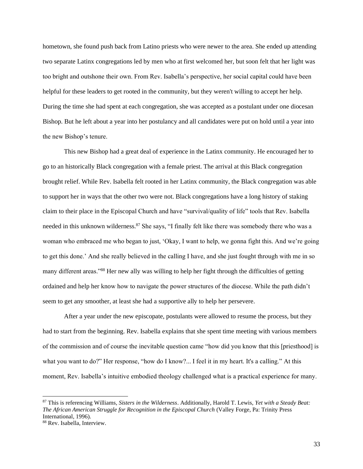hometown, she found push back from Latino priests who were newer to the area. She ended up attending two separate Latinx congregations led by men who at first welcomed her, but soon felt that her light was too bright and outshone their own. From Rev. Isabella's perspective, her social capital could have been helpful for these leaders to get rooted in the community, but they weren't willing to accept her help. During the time she had spent at each congregation, she was accepted as a postulant under one diocesan Bishop. But he left about a year into her postulancy and all candidates were put on hold until a year into the new Bishop's tenure.

This new Bishop had a great deal of experience in the Latinx community. He encouraged her to go to an historically Black congregation with a female priest. The arrival at this Black congregation brought relief. While Rev. Isabella felt rooted in her Latinx community, the Black congregation was able to support her in ways that the other two were not. Black congregations have a long history of staking claim to their place in the Episcopal Church and have "survival/quality of life" tools that Rev. Isabella needed in this unknown wilderness.<sup>87</sup> She says, "I finally felt like there was somebody there who was a woman who embraced me who began to just, 'Okay, I want to help, we gonna fight this. And we're going to get this done.' And she really believed in the calling I have, and she just fought through with me in so many different areas."<sup>88</sup> Her new ally was willing to help her fight through the difficulties of getting ordained and help her know how to navigate the power structures of the diocese. While the path didn't seem to get any smoother, at least she had a supportive ally to help her persevere.

After a year under the new episcopate, postulants were allowed to resume the process, but they had to start from the beginning. Rev. Isabella explains that she spent time meeting with various members of the commission and of course the inevitable question came "how did you know that this [priesthood] is what you want to do?" Her response, "how do I know?... I feel it in my heart. It's a calling." At this moment, Rev. Isabella's intuitive embodied theology challenged what is a practical experience for many.

<sup>87</sup> This is referencing Williams, *Sisters in the Wilderness*. Additionally, Harold T. Lewis, *Yet with a Steady Beat: The African American Struggle for Recognition in the Episcopal Church* (Valley Forge, Pa: Trinity Press International, 1996).

<sup>88</sup> Rev. Isabella, Interview.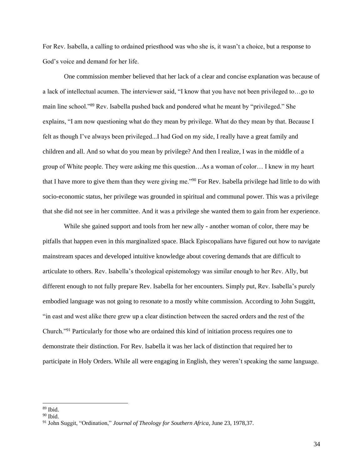For Rev. Isabella, a calling to ordained priesthood was who she is, it wasn't a choice, but a response to God's voice and demand for her life.

One commission member believed that her lack of a clear and concise explanation was because of a lack of intellectual acumen. The interviewer said, "I know that you have not been privileged to…go to main line school."<sup>89</sup> Rev. Isabella pushed back and pondered what he meant by "privileged." She explains, "I am now questioning what do they mean by privilege. What do they mean by that. Because I felt as though I've always been privileged...I had God on my side, I really have a great family and children and all. And so what do you mean by privilege? And then I realize, I was in the middle of a group of White people. They were asking me this question…As a woman of color… I knew in my heart that I have more to give them than they were giving me."<sup>90</sup> For Rev. Isabella privilege had little to do with socio-economic status, her privilege was grounded in spiritual and communal power. This was a privilege that she did not see in her committee. And it was a privilege she wanted them to gain from her experience.

While she gained support and tools from her new ally - another woman of color, there may be pitfalls that happen even in this marginalized space. Black Episcopalians have figured out how to navigate mainstream spaces and developed intuitive knowledge about covering demands that are difficult to articulate to others. Rev. Isabella's theological epistemology was similar enough to her Rev. Ally, but different enough to not fully prepare Rev. Isabella for her encounters. Simply put, Rev. Isabella's purely embodied language was not going to resonate to a mostly white commission. According to John Suggitt, "in east and west alike there grew up a clear distinction between the sacred orders and the rest of the Church."<sup>91</sup> Particularly for those who are ordained this kind of initiation process requires one to demonstrate their distinction. For Rev. Isabella it was her lack of distinction that required her to participate in Holy Orders. While all were engaging in English, they weren't speaking the same language.

<sup>89</sup> Ibid.

 $90$  Ibid.

<sup>91</sup> John Suggit, "Ordination," *Journal of Theology for Southern Africa*, June 23, 1978,37.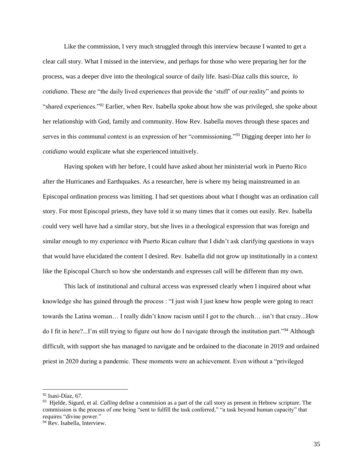Like the commission, I very much struggled through this interview because I wanted to get a clear call story. What I missed in the interview, and perhaps for those who were preparing her for the process, was a deeper dive into the theological source of daily life. Isasi-Díaz calls this source, *lo cotidiano*. These are "the daily lived experiences that provide the 'stuff' of our reality" and points to "shared experiences."<sup>92</sup> Earlier, when Rev. Isabella spoke about how she was privileged, she spoke about her relationship with God, family and community. How Rev. Isabella moves through these spaces and serves in this communal context is an expression of her "commissioning."<sup>93</sup> Digging deeper into her *lo cotidiano* would explicate what she experienced intuitively.

Having spoken with her before, I could have asked about her ministerial work in Puerto Rico after the Hurricanes and Earthquakes. As a researcher, here is where my being mainstreamed in an Episcopal ordination process was limiting. I had set questions about what I thought was an ordination call story. For most Episcopal priests, they have told it so many times that it comes out easily. Rev. Isabella could very well have had a similar story, but she lives in a theological expression that was foreign and similar enough to my experience with Puerto Rican culture that I didn't ask clarifying questions in ways that would have elucidated the content I desired. Rev. Isabella did not grow up institutionally in a context like the Episcopal Church so how she understands and expresses call will be different than my own.

This lack of institutional and cultural access was expressed clearly when I inquired about what knowledge she has gained through the process : "I just wish I just knew how people were going to react towards the Latina woman… I really didn't know racism until I got to the church… isn't that crazy...How do I fit in here?...I'm still trying to figure out how do I navigate through the institution part."<sup>94</sup> Although difficult, with support she has managed to navigate and be ordained to the diaconate in 2019 and ordained priest in 2020 during a pandemic. These moments were an achievement. Even without a "privileged

 $92$  Isasi-Díaz, 67.

<sup>93</sup> Hjelde, Sigurd, et al. *Calling* define a commision as a part of the call story as present in Hebrew scripture. The commission is the process of one being "sent to fulfill the task conferred," "a task beyond human capacity" that requires "divine power."

<sup>&</sup>lt;sup>94</sup> Rev. Isabella, Interview.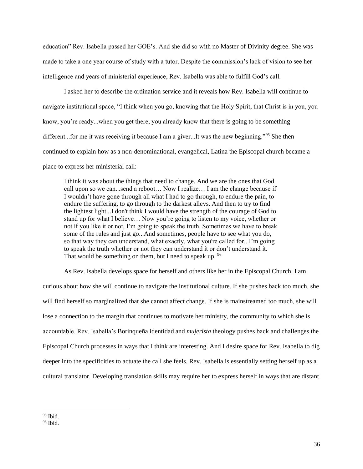education" Rev. Isabella passed her GOE's. And she did so with no Master of Divinity degree. She was made to take a one year course of study with a tutor. Despite the commission's lack of vision to see her intelligence and years of ministerial experience, Rev. Isabella was able to fulfill God's call.

I asked her to describe the ordination service and it reveals how Rev. Isabella will continue to navigate institutional space, "I think when you go, knowing that the Holy Spirit, that Christ is in you, you know, you're ready...when you get there, you already know that there is going to be something different...for me it was receiving it because I am a giver...It was the new beginning."<sup>95</sup> She then continued to explain how as a non-denominational, evangelical, Latina the Episcopal church became a place to express her ministerial call:

I think it was about the things that need to change. And we are the ones that God call upon so we can...send a reboot… Now I realize… I am the change because if I wouldn't have gone through all what I had to go through, to endure the pain, to endure the suffering, to go through to the darkest alleys. And then to try to find the lightest light...I don't think I would have the strength of the courage of God to stand up for what I believe… Now you're going to listen to my voice, whether or not if you like it or not, I'm going to speak the truth. Sometimes we have to break some of the rules and just go...And sometimes, people have to see what you do, so that way they can understand, what exactly, what you're called for...I'm going to speak the truth whether or not they can understand it or don't understand it. That would be something on them, but I need to speak up. <sup>96</sup>

As Rev. Isabella develops space for herself and others like her in the Episcopal Church, I am

curious about how she will continue to navigate the institutional culture. If she pushes back too much, she will find herself so marginalized that she cannot affect change. If she is mainstreamed too much, she will lose a connection to the margin that continues to motivate her ministry, the community to which she is accountable. Rev. Isabella's Borinqueña identidad and *mujerista* theology pushes back and challenges the Episcopal Church processes in ways that I think are interesting. And I desire space for Rev. Isabella to dig deeper into the specificities to actuate the call she feels. Rev. Isabella is essentially setting herself up as a cultural translator. Developing translation skills may require her to express herself in ways that are distant

 $95$  Ibid.

 $96$  Ibid.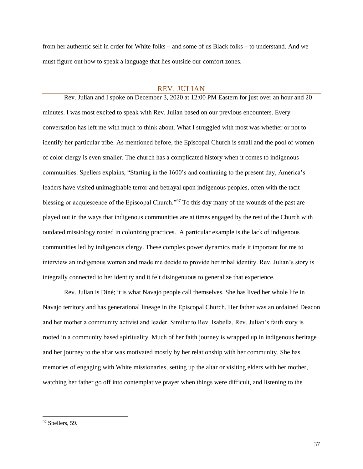from her authentic self in order for White folks – and some of us Black folks – to understand. And we must figure out how to speak a language that lies outside our comfort zones.

#### REV. JULIAN

<span id="page-36-0"></span>Rev. Julian and I spoke on December 3, 2020 at 12:00 PM Eastern for just over an hour and 20 minutes. I was most excited to speak with Rev. Julian based on our previous encounters. Every conversation has left me with much to think about. What I struggled with most was whether or not to identify her particular tribe. As mentioned before, the Episcopal Church is small and the pool of women of color clergy is even smaller. The church has a complicated history when it comes to indigenous communities. Spellers explains, "Starting in the 1600's and continuing to the present day, America's leaders have visited unimaginable terror and betrayal upon indigenous peoples, often with the tacit blessing or acquiescence of the Episcopal Church."<sup>97</sup> To this day many of the wounds of the past are played out in the ways that indigenous communities are at times engaged by the rest of the Church with outdated missiology rooted in colonizing practices. A particular example is the lack of indigenous communities led by indigenous clergy. These complex power dynamics made it important for me to interview an indigenous woman and made me decide to provide her tribal identity. Rev. Julian's story is integrally connected to her identity and it felt disingenuous to generalize that experience.

Rev. Julian is Diné; it is what Navajo people call themselves. She has lived her whole life in Navajo territory and has generational lineage in the Episcopal Church. Her father was an ordained Deacon and her mother a community activist and leader. Similar to Rev. Isabella, Rev. Julian's faith story is rooted in a community based spirituality. Much of her faith journey is wrapped up in indigenous heritage and her journey to the altar was motivated mostly by her relationship with her community. She has memories of engaging with White missionaries, setting up the altar or visiting elders with her mother, watching her father go off into contemplative prayer when things were difficult, and listening to the

<sup>&</sup>lt;sup>97</sup> Spellers, 59.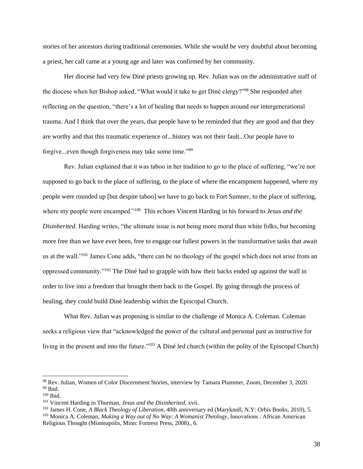stories of her ancestors during traditional ceremonies. While she would be very doubtful about becoming a priest, her call came at a young age and later was confirmed by her community.

Her diocese had very few Diné priests growing up. Rev. Julian was on the administrative staff of the diocese when her Bishop asked, "What would it take to get Diné clergy?"<sup>98</sup> She responded after reflecting on the question, "there's a lot of healing that needs to happen around our intergenerational trauma. And I think that over the years, that people have to be reminded that they are good and that they are worthy and that this traumatic experience of...history was not their fault...Our people have to forgive...even though forgiveness may take some time."<sup>99</sup>

Rev. Julian explained that it was taboo in her tradition to go to the place of suffering, "we're not supposed to go back to the place of suffering, to the place of where the encampment happened, where my people were rounded up [but despite taboo] we have to go back to Fort Sumner, to the place of suffering, where my people were encamped."<sup>100</sup> This echoes Vincent Harding in his forward to *Jesus and the Disinherited*. Harding writes, "the ultimate issue is not being more moral than white folks, but becoming more free than we have ever been, free to engage our fullest powers in the transformative tasks that await us at the wall."<sup>101</sup> James Cone adds, "there can be no theology of the gospel which does not arise from an oppressed community."<sup>102</sup> The Diné had to grapple with how their backs ended up against the wall in order to live into a freedom that brought them back to the Gospel. By going through the process of healing, they could build Diné leadership within the Episcopal Church.

What Rev. Julian was proposing is similar to the challenge of Monica A. Coleman. Coleman seeks a religious view that "acknowledged the power of the cultural and personal past as instructive for living in the present and into the future."<sup>103</sup> A Diné led church (within the polity of the Episcopal Church)

<sup>98</sup> Rev. Julian, Women of Color Discernment Stories, interview by Tamara Plummer, Zoom, December 3, 2020.  $99$  Ibid.

<sup>100</sup> Ibid.

<sup>101</sup> Vincent Harding in Thurman, *Jesus and the Disinherited,* xvii.

<sup>102</sup> James H. Cone, *A Black Theology of Liberation*, 40th anniversary ed (Maryknoll, N.Y: Orbis Books, 2010), 5.

<sup>103</sup> Monica A. Coleman, *Making a Way out of No Way: A Womanist Theology*, Innovations : African American Religious Thought (Minneapolis, Minn: Fortress Press, 2008)., 6.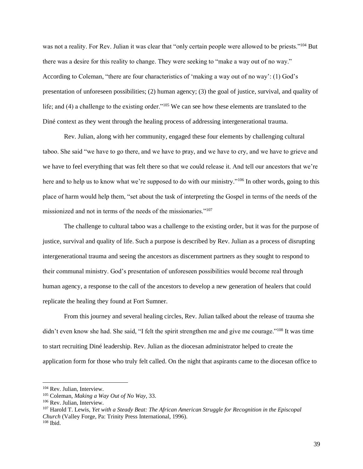was not a reality. For Rev. Julian it was clear that "only certain people were allowed to be priests."<sup>104</sup> But there was a desire for this reality to change. They were seeking to "make a way out of no way." According to Coleman, "there are four characteristics of 'making a way out of no way': (1) God's presentation of unforeseen possibilities; (2) human agency; (3) the goal of justice, survival, and quality of life; and (4) a challenge to the existing order."<sup>105</sup> We can see how these elements are translated to the Diné context as they went through the healing process of addressing intergenerational trauma.

Rev. Julian, along with her community, engaged these four elements by challenging cultural taboo. She said "we have to go there, and we have to pray, and we have to cry, and we have to grieve and we have to feel everything that was felt there so that we could release it. And tell our ancestors that we're here and to help us to know what we're supposed to do with our ministry."<sup>106</sup> In other words, going to this place of harm would help them, "set about the task of interpreting the Gospel in terms of the needs of the missionized and not in terms of the needs of the missionaries."<sup>107</sup>

The challenge to cultural taboo was a challenge to the existing order, but it was for the purpose of justice, survival and quality of life. Such a purpose is described by Rev. Julian as a process of disrupting intergenerational trauma and seeing the ancestors as discernment partners as they sought to respond to their communal ministry. God's presentation of unforeseen possibilities would become real through human agency, a response to the call of the ancestors to develop a new generation of healers that could replicate the healing they found at Fort Sumner.

From this journey and several healing circles, Rev. Julian talked about the release of trauma she didn't even know she had. She said, "I felt the spirit strengthen me and give me courage."<sup>108</sup> It was time to start recruiting Diné leadership. Rev. Julian as the diocesan administrator helped to create the application form for those who truly felt called. On the night that aspirants came to the diocesan office to

<sup>104</sup> Rev. Julian, Interview.

<sup>105</sup> Coleman, *Making a Way Out of No Way,* 33.

<sup>106</sup> Rev. Julian, Interview.

<sup>107</sup> Harold T. Lewis, *Yet with a Steady Beat: The African American Struggle for Recognition in the Episcopal Church* (Valley Forge, Pa: Trinity Press International, 1996).  $108$  Ibid.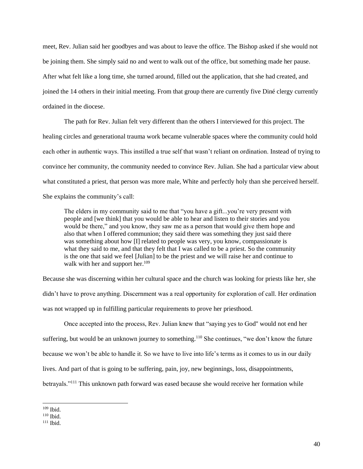meet, Rev. Julian said her goodbyes and was about to leave the office. The Bishop asked if she would not be joining them. She simply said no and went to walk out of the office, but something made her pause. After what felt like a long time, she turned around, filled out the application, that she had created, and joined the 14 others in their initial meeting. From that group there are currently five Diné clergy currently ordained in the diocese.

The path for Rev. Julian felt very different than the others I interviewed for this project. The healing circles and generational trauma work became vulnerable spaces where the community could hold each other in authentic ways. This instilled a true self that wasn't reliant on ordination. Instead of trying to convince her community, the community needed to convince Rev. Julian. She had a particular view about what constituted a priest, that person was more male, White and perfectly holy than she perceived herself. She explains the community's call:

The elders in my community said to me that "you have a gift...you're very present with people and [we think] that you would be able to hear and listen to their stories and you would be there," and you know, they saw me as a person that would give them hope and also that when I offered communion; they said there was something they just said there was something about how [I] related to people was very, you know, compassionate is what they said to me, and that they felt that I was called to be a priest. So the community is the one that said we feel [Julian] to be the priest and we will raise her and continue to walk with her and support her.<sup>109</sup>

Because she was discerning within her cultural space and the church was looking for priests like her, she didn't have to prove anything. Discernment was a real opportunity for exploration of call. Her ordination was not wrapped up in fulfilling particular requirements to prove her priesthood.

Once accepted into the process, Rev. Julian knew that "saying yes to God'' would not end her suffering, but would be an unknown journey to something.<sup>110</sup> She continues, "we don't know the future because we won't be able to handle it. So we have to live into life's terms as it comes to us in our daily lives. And part of that is going to be suffering, pain, joy, new beginnings, loss, disappointments, betrayals."<sup>111</sup> This unknown path forward was eased because she would receive her formation while

<sup>109</sup> Ibid.

 $110$  Ibid.

 $111$  Ibid.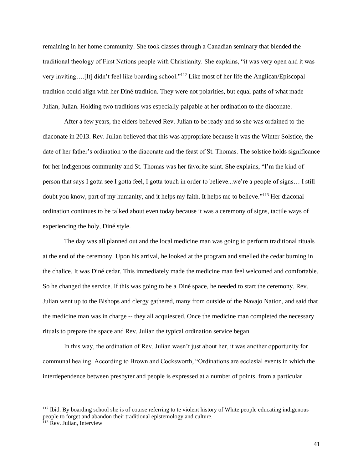remaining in her home community. She took classes through a Canadian seminary that blended the traditional theology of First Nations people with Christianity. She explains, "it was very open and it was very inviting….[It] didn't feel like boarding school."<sup>112</sup> Like most of her life the Anglican/Episcopal tradition could align with her Diné tradition. They were not polarities, but equal paths of what made Julian, Julian. Holding two traditions was especially palpable at her ordination to the diaconate.

After a few years, the elders believed Rev. Julian to be ready and so she was ordained to the diaconate in 2013. Rev. Julian believed that this was appropriate because it was the Winter Solstice, the date of her father's ordination to the diaconate and the feast of St. Thomas. The solstice holds significance for her indigenous community and St. Thomas was her favorite saint. She explains, "I'm the kind of person that says I gotta see I gotta feel, I gotta touch in order to believe...we're a people of signs… I still doubt you know, part of my humanity, and it helps my faith. It helps me to believe."<sup>113</sup> Her diaconal ordination continues to be talked about even today because it was a ceremony of signs, tactile ways of experiencing the holy, Diné style.

The day was all planned out and the local medicine man was going to perform traditional rituals at the end of the ceremony. Upon his arrival, he looked at the program and smelled the cedar burning in the chalice. It was Diné cedar. This immediately made the medicine man feel welcomed and comfortable. So he changed the service. If this was going to be a Diné space, he needed to start the ceremony. Rev. Julian went up to the Bishops and clergy gathered, many from outside of the Navajo Nation, and said that the medicine man was in charge -- they all acquiesced. Once the medicine man completed the necessary rituals to prepare the space and Rev. Julian the typical ordination service began.

In this way, the ordination of Rev. Julian wasn't just about her, it was another opportunity for communal healing. According to Brown and Cocksworth, "Ordinations are ecclesial events in which the interdependence between presbyter and people is expressed at a number of points, from a particular

<sup>&</sup>lt;sup>112</sup> Ibid. By boarding school she is of course referring to te violent history of White people educating indigenous people to forget and abandon their traditional epistemology and culture.

<sup>&</sup>lt;sup>113</sup> Rev. Julian, Interview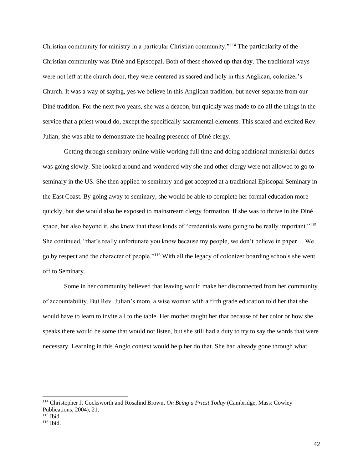Christian community for ministry in a particular Christian community."<sup>114</sup> The particularity of the Christian community was Diné and Episcopal. Both of these showed up that day. The traditional ways were not left at the church door, they were centered as sacred and holy in this Anglican, colonizer's Church. It was a way of saying, yes we believe in this Anglican tradition, but never separate from our Diné tradition. For the next two years, she was a deacon, but quickly was made to do all the things in the service that a priest would do, except the specifically sacramental elements. This scared and excited Rev. Julian, she was able to demonstrate the healing presence of Diné clergy.

Getting through seminary online while working full time and doing additional ministerial duties was going slowly. She looked around and wondered why she and other clergy were not allowed to go to seminary in the US. She then applied to seminary and got accepted at a traditional Episcopal Seminary in the East Coast. By going away to seminary, she would be able to complete her formal education more quickly, but she would also be exposed to mainstream clergy formation. If she was to thrive in the Diné space, but also beyond it, she knew that these kinds of "credentials were going to be really important."<sup>115</sup> She continued, "that's really unfortunate you know because my people, we don't believe in paper… We go by respect and the character of people."<sup>116</sup> With all the legacy of colonizer boarding schools she went off to Seminary.

Some in her community believed that leaving would make her disconnected from her community of accountability. But Rev. Julian's mom, a wise woman with a fifth grade education told her that she would have to learn to invite all to the table. Her mother taught her that because of her color or how she speaks there would be some that would not listen, but she still had a duty to try to say the words that were necessary. Learning in this Anglo context would help her do that. She had already gone through what

<sup>114</sup> Christopher J. Cocksworth and Rosalind Brown, *On Being a Priest Today* (Cambridge, Mass: Cowley Publications, 2004), 21.

<sup>115</sup> Ibid.

 $116$  Ibid.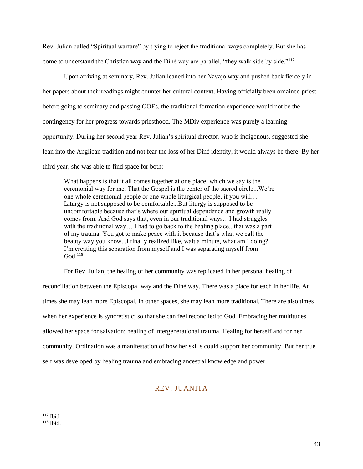Rev. Julian called "Spiritual warfare" by trying to reject the traditional ways completely. But she has come to understand the Christian way and the Diné way are parallel, "they walk side by side."<sup>117</sup>

Upon arriving at seminary, Rev. Julian leaned into her Navajo way and pushed back fiercely in her papers about their readings might counter her cultural context. Having officially been ordained priest before going to seminary and passing GOEs, the traditional formation experience would not be the contingency for her progress towards priesthood. The MDiv experience was purely a learning opportunity. During her second year Rev. Julian's spiritual director, who is indigenous, suggested she lean into the Anglican tradition and not fear the loss of her Diné identity, it would always be there. By her third year, she was able to find space for both:

What happens is that it all comes together at one place, which we say is the ceremonial way for me. That the Gospel is the center of the sacred circle...We're one whole ceremonial people or one whole liturgical people, if you will… Liturgy is not supposed to be comfortable...But liturgy is supposed to be uncomfortable because that's where our spiritual dependence and growth really comes from. And God says that, even in our traditional ways…I had struggles with the traditional way... I had to go back to the healing place...that was a part of my trauma. You got to make peace with it because that's what we call the beauty way you know...I finally realized like, wait a minute, what am I doing? I'm creating this separation from myself and I was separating myself from  $God.<sup>118</sup>$ 

For Rev. Julian, the healing of her community was replicated in her personal healing of

reconciliation between the Episcopal way and the Diné way. There was a place for each in her life. At times she may lean more Episcopal. In other spaces, she may lean more traditional. There are also times when her experience is syncretistic; so that she can feel reconciled to God. Embracing her multitudes allowed her space for salvation: healing of intergenerational trauma. Healing for herself and for her community. Ordination was a manifestation of how her skills could support her community. But her true self was developed by healing trauma and embracing ancestral knowledge and power.

### REV. JUANITA

<span id="page-42-0"></span><sup>117</sup> Ibid.

 $118$  Ibid.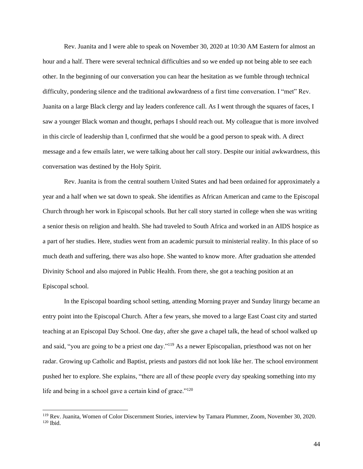Rev. Juanita and I were able to speak on November 30, 2020 at 10:30 AM Eastern for almost an hour and a half. There were several technical difficulties and so we ended up not being able to see each other. In the beginning of our conversation you can hear the hesitation as we fumble through technical difficulty, pondering silence and the traditional awkwardness of a first time conversation. I "met" Rev. Juanita on a large Black clergy and lay leaders conference call. As I went through the squares of faces, I saw a younger Black woman and thought, perhaps I should reach out. My colleague that is more involved in this circle of leadership than I, confirmed that she would be a good person to speak with. A direct message and a few emails later, we were talking about her call story. Despite our initial awkwardness, this conversation was destined by the Holy Spirit.

Rev. Juanita is from the central southern United States and had been ordained for approximately a year and a half when we sat down to speak. She identifies as African American and came to the Episcopal Church through her work in Episcopal schools. But her call story started in college when she was writing a senior thesis on religion and health. She had traveled to South Africa and worked in an AIDS hospice as a part of her studies. Here, studies went from an academic pursuit to ministerial reality. In this place of so much death and suffering, there was also hope. She wanted to know more. After graduation she attended Divinity School and also majored in Public Health. From there, she got a teaching position at an Episcopal school.

In the Episcopal boarding school setting, attending Morning prayer and Sunday liturgy became an entry point into the Episcopal Church. After a few years, she moved to a large East Coast city and started teaching at an Episcopal Day School. One day, after she gave a chapel talk, the head of school walked up and said, "you are going to be a priest one day."<sup>119</sup> As a newer Episcopalian, priesthood was not on her radar. Growing up Catholic and Baptist, priests and pastors did not look like her. The school environment pushed her to explore. She explains, "there are all of these people every day speaking something into my life and being in a school gave a certain kind of grace."<sup>120</sup>

<sup>119</sup> Rev. Juanita, Women of Color Discernment Stories, interview by Tamara Plummer, Zoom, November 30, 2020.  $120$  Ibid.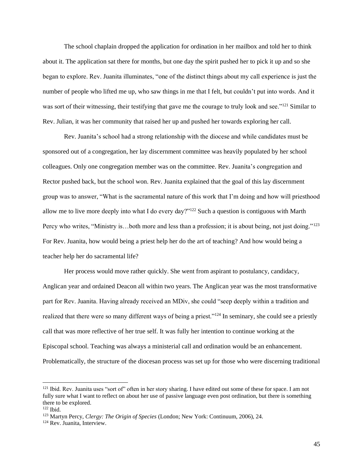The school chaplain dropped the application for ordination in her mailbox and told her to think about it. The application sat there for months, but one day the spirit pushed her to pick it up and so she began to explore. Rev. Juanita illuminates, "one of the distinct things about my call experience is just the number of people who lifted me up, who saw things in me that I felt, but couldn't put into words. And it was sort of their witnessing, their testifying that gave me the courage to truly look and see."<sup>121</sup> Similar to Rev. Julian, it was her community that raised her up and pushed her towards exploring her call.

Rev. Juanita's school had a strong relationship with the diocese and while candidates must be sponsored out of a congregation, her lay discernment committee was heavily populated by her school colleagues. Only one congregation member was on the committee. Rev. Juanita's congregation and Rector pushed back, but the school won. Rev. Juanita explained that the goal of this lay discernment group was to answer, "What is the sacramental nature of this work that I'm doing and how will priesthood allow me to live more deeply into what I do every day?"<sup>122</sup> Such a question is contiguous with Marth Percy who writes, "Ministry is…both more and less than a profession; it is about being, not just doing."<sup>123</sup> For Rev. Juanita, how would being a priest help her do the art of teaching? And how would being a teacher help her do sacramental life?

Her process would move rather quickly. She went from aspirant to postulancy, candidacy, Anglican year and ordained Deacon all within two years. The Anglican year was the most transformative part for Rev. Juanita. Having already received an MDiv, she could "seep deeply within a tradition and realized that there were so many different ways of being a priest."<sup>124</sup> In seminary, she could see a priestly call that was more reflective of her true self. It was fully her intention to continue working at the Episcopal school. Teaching was always a ministerial call and ordination would be an enhancement. Problematically, the structure of the diocesan process was set up for those who were discerning traditional

 $121$  Ibid. Rev. Juanita uses "sort of" often in her story sharing. I have edited out some of these for space. I am not fully sure what I want to reflect on about her use of passive language even post ordination, but there is something there to be explored.

<sup>122</sup> Ibid.

<sup>123</sup> Martyn Percy, *Clergy: The Origin of Species* (London; New York: Continuum, 2006), 24.

<sup>124</sup> Rev. Juanita, Interview.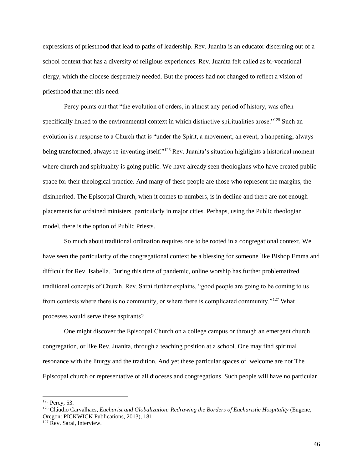expressions of priesthood that lead to paths of leadership. Rev. Juanita is an educator discerning out of a school context that has a diversity of religious experiences. Rev. Juanita felt called as bi-vocational clergy, which the diocese desperately needed. But the process had not changed to reflect a vision of priesthood that met this need.

Percy points out that "the evolution of orders, in almost any period of history, was often specifically linked to the environmental context in which distinctive spiritualities arose."<sup>125</sup> Such an evolution is a response to a Church that is "under the Spirit, a movement, an event, a happening, always being transformed, always re-inventing itself."<sup>126</sup> Rev. Juanita's situation highlights a historical moment where church and spirituality is going public. We have already seen theologians who have created public space for their theological practice. And many of these people are those who represent the margins, the disinherited. The Episcopal Church, when it comes to numbers, is in decline and there are not enough placements for ordained ministers, particularly in major cities. Perhaps, using the Public theologian model, there is the option of Public Priests.

So much about traditional ordination requires one to be rooted in a congregational context. We have seen the particularity of the congregational context be a blessing for someone like Bishop Emma and difficult for Rev. Isabella. During this time of pandemic, online worship has further problematized traditional concepts of Church. Rev. Sarai further explains, "good people are going to be coming to us from contexts where there is no community, or where there is complicated community."<sup>127</sup> What processes would serve these aspirants?

One might discover the Episcopal Church on a college campus or through an emergent church congregation, or like Rev. Juanita, through a teaching position at a school. One may find spiritual resonance with the liturgy and the tradition. And yet these particular spaces of welcome are not The Episcopal church or representative of all dioceses and congregations. Such people will have no particular

<sup>125</sup> Percy, 53.

<sup>126</sup> Cláudio Carvalhaes, *Eucharist and Globalization: Redrawing the Borders of Eucharistic Hospitality* (Eugene, Oregon: PICKWICK Publications, 2013), 181.

<sup>&</sup>lt;sup>127</sup> Rev. Sarai, Interview.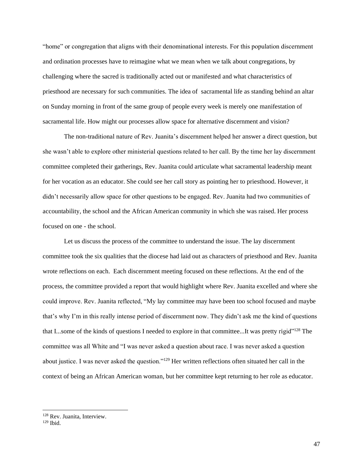"home" or congregation that aligns with their denominational interests. For this population discernment and ordination processes have to reimagine what we mean when we talk about congregations, by challenging where the sacred is traditionally acted out or manifested and what characteristics of priesthood are necessary for such communities. The idea of sacramental life as standing behind an altar on Sunday morning in front of the same group of people every week is merely one manifestation of sacramental life. How might our processes allow space for alternative discernment and vision?

The non-traditional nature of Rev. Juanita's discernment helped her answer a direct question, but she wasn't able to explore other ministerial questions related to her call. By the time her lay discernment committee completed their gatherings, Rev. Juanita could articulate what sacramental leadership meant for her vocation as an educator. She could see her call story as pointing her to priesthood. However, it didn't necessarily allow space for other questions to be engaged. Rev. Juanita had two communities of accountability, the school and the African American community in which she was raised. Her process focused on one - the school.

Let us discuss the process of the committee to understand the issue. The lay discernment committee took the six qualities that the diocese had laid out as characters of priesthood and Rev. Juanita wrote reflections on each. Each discernment meeting focused on these reflections. At the end of the process, the committee provided a report that would highlight where Rev. Juanita excelled and where she could improve. Rev. Juanita reflected, "My lay committee may have been too school focused and maybe that's why I'm in this really intense period of discernment now. They didn't ask me the kind of questions that I...some of the kinds of questions I needed to explore in that committee...It was pretty rigid<sup>"128</sup> The committee was all White and "I was never asked a question about race. I was never asked a question about justice. I was never asked the question."<sup>129</sup> Her written reflections often situated her call in the context of being an African American woman, but her committee kept returning to her role as educator.

<sup>128</sup> Rev. Juanita, Interview.

 $129$  Ibid.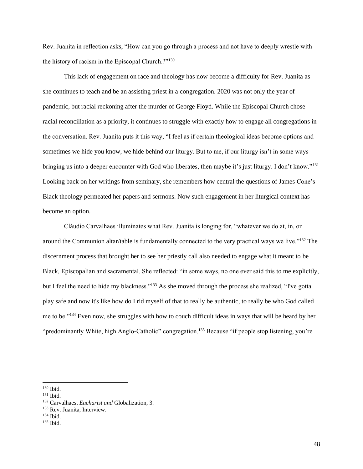Rev. Juanita in reflection asks, "How can you go through a process and not have to deeply wrestle with the history of racism in the Episcopal Church.?"<sup>130</sup>

This lack of engagement on race and theology has now become a difficulty for Rev. Juanita as she continues to teach and be an assisting priest in a congregation. 2020 was not only the year of pandemic, but racial reckoning after the murder of George Floyd. While the Episcopal Church chose racial reconciliation as a priority, it continues to struggle with exactly how to engage all congregations in the conversation. Rev. Juanita puts it this way, "I feel as if certain theological ideas become options and sometimes we hide you know, we hide behind our liturgy. But to me, if our liturgy isn't in some ways bringing us into a deeper encounter with God who liberates, then maybe it's just liturgy. I don't know."<sup>131</sup> Looking back on her writings from seminary, she remembers how central the questions of James Cone's Black theology permeated her papers and sermons. Now such engagement in her liturgical context has become an option.

Cláudio Carvalhaes illuminates what Rev. Juanita is longing for, "whatever we do at, in, or around the Communion altar/table is fundamentally connected to the very practical ways we live."<sup>132</sup> The discernment process that brought her to see her priestly call also needed to engage what it meant to be Black, Episcopalian and sacramental. She reflected: "in some ways, no one ever said this to me explicitly, but I feel the need to hide my blackness."<sup>133</sup> As she moved through the process she realized, "I've gotta play safe and now it's like how do I rid myself of that to really be authentic, to really be who God called me to be."<sup>134</sup> Even now, she struggles with how to couch difficult ideas in ways that will be heard by her "predominantly White, high Anglo-Catholic" congregation.<sup>135</sup> Because "if people stop listening, you're

<sup>130</sup> Ibid.

<sup>131</sup> Ibid.

<sup>132</sup> Carvalhaes, *Eucharist and* Globalization, 3.

<sup>133</sup> Rev. Juanita, Interview.

 $134$  Ibid.

<sup>135</sup> Ibid.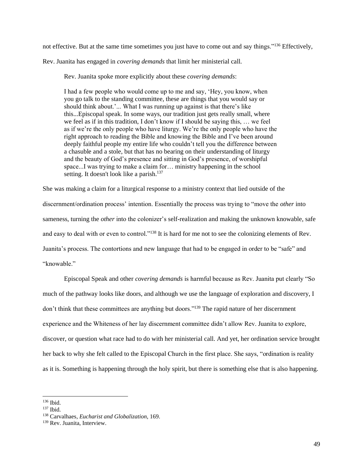not effective. But at the same time sometimes you just have to come out and say things."<sup>136</sup> Effectively,

Rev. Juanita has engaged in *covering demands* that limit her ministerial call.

Rev. Juanita spoke more explicitly about these *covering demands*:

I had a few people who would come up to me and say, 'Hey, you know, when you go talk to the standing committee, these are things that you would say or should think about.'... What I was running up against is that there's like this...Episcopal speak. In some ways, our tradition just gets really small, where we feel as if in this tradition, I don't know if I should be saying this, … we feel as if we're the only people who have liturgy. We're the only people who have the right approach to reading the Bible and knowing the Bible and I've been around deeply faithful people my entire life who couldn't tell you the difference between a chasuble and a stole, but that has no bearing on their understanding of liturgy and the beauty of God's presence and sitting in God's presence, of worshipful space...I was trying to make a claim for… ministry happening in the school setting. It doesn't look like a parish.<sup>137</sup>

She was making a claim for a liturgical response to a ministry context that lied outside of the discernment/ordination process' intention. Essentially the process was trying to "move the *other* into sameness, turning the *other* into the colonizer's self-realization and making the unknown knowable, safe and easy to deal with or even to control."<sup>138</sup> It is hard for me not to see the colonizing elements of Rev. Juanita's process. The contortions and new language that had to be engaged in order to be "safe" and "knowable."

Episcopal Speak and other *covering demands* is harmful because as Rev. Juanita put clearly "So much of the pathway looks like doors, and although we use the language of exploration and discovery, I don't think that these committees are anything but doors."<sup>139</sup> The rapid nature of her discernment experience and the Whiteness of her lay discernment committee didn't allow Rev. Juanita to explore, discover, or question what race had to do with her ministerial call. And yet, her ordination service brought her back to why she felt called to the Episcopal Church in the first place. She says, "ordination is reality as it is. Something is happening through the holy spirit, but there is something else that is also happening.

 $136$  Ibid.

<sup>137</sup> Ibid.

<sup>138</sup> Carvalhaes, *Eucharist and Globalization*, 169.

<sup>139</sup> Rev. Juanita, Interview.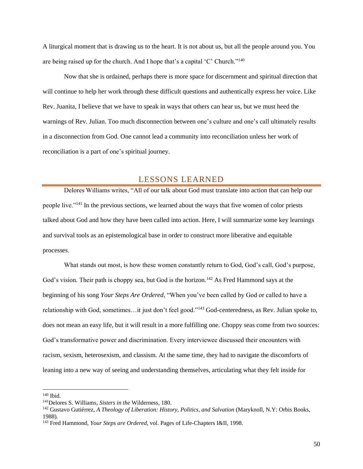A liturgical moment that is drawing us to the heart. It is not about us, but all the people around you. You are being raised up for the church. And I hope that's a capital 'C' Church."<sup>140</sup>

Now that she is ordained, perhaps there is more space for discernment and spiritual direction that will continue to help her work through these difficult questions and authentically express her voice. Like Rev. Juanita, I believe that we have to speak in ways that others can hear us, but we must heed the warnings of Rev. Julian. Too much disconnection between one's culture and one's call ultimately results in a disconnection from God. One cannot lead a community into reconciliation unless her work of reconciliation is a part of one's spiritual journey.

# LESSONS LEARNED

<span id="page-49-0"></span>Delores Williams writes, "All of our talk about God must translate into action that can help our people live."<sup>141</sup> In the previous sections, we learned about the ways that five women of color priests talked about God and how they have been called into action. Here, I will summarize some key learnings and survival tools as an epistemological base in order to construct more liberative and equitable processes.

What stands out most, is how these women constantly return to God, God's call, God's purpose, God's vision. Their path is choppy sea, but God is the horizon.<sup>142</sup> As Fred Hammond says at the beginning of his song *Your Steps Are Ordered*, "When you've been called by God or called to have a relationship with God, sometimes…it just don't feel good."<sup>143</sup> God-centeredness, as Rev. Julian spoke to, does not mean an easy life, but it will result in a more fulfilling one. Choppy seas come from two sources: God's transformative power and discrimination. Every interviewee discussed their encounters with racism, sexism, heterosexism, and classism. At the same time, they had to navigate the discomforts of leaning into a new way of seeing and understanding themselves, articulating what they felt inside for

<sup>140</sup> Ibid.

<sup>141</sup>Delores S. Williams, *Sisters in the* Wilderness, 180.

<sup>142</sup> Gustavo Gutiérrez, *A Theology of Liberation: History, Politics, and Salvation* (Maryknoll, N.Y: Orbis Books, 1988).

<sup>143</sup> Fred Hammond, *Your Steps are Ordered*, vol. Pages of Life-Chapters I&II, 1998.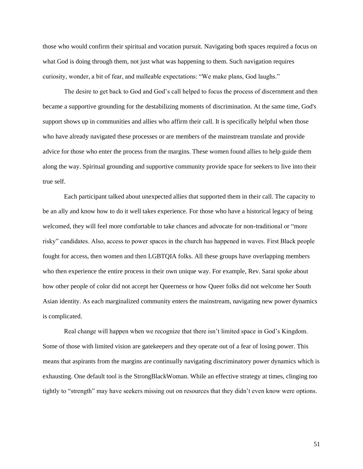those who would confirm their spiritual and vocation pursuit. Navigating both spaces required a focus on what God is doing through them, not just what was happening to them. Such navigation requires curiosity, wonder, a bit of fear, and malleable expectations: "We make plans, God laughs."

The desire to get back to God and God's call helped to focus the process of discernment and then became a supportive grounding for the destabilizing moments of discrimination. At the same time, God's support shows up in communities and allies who affirm their call. It is specifically helpful when those who have already navigated these processes or are members of the mainstream translate and provide advice for those who enter the process from the margins. These women found allies to help guide them along the way. Spiritual grounding and supportive community provide space for seekers to live into their true self.

Each participant talked about unexpected allies that supported them in their call. The capacity to be an ally and know how to do it well takes experience. For those who have a historical legacy of being welcomed, they will feel more comfortable to take chances and advocate for non-traditional or "more risky" candidates. Also, access to power spaces in the church has happened in waves. First Black people fought for access, then women and then LGBTQIA folks. All these groups have overlapping members who then experience the entire process in their own unique way. For example, Rev. Sarai spoke about how other people of color did not accept her Queerness or how Queer folks did not welcome her South Asian identity. As each marginalized community enters the mainstream, navigating new power dynamics is complicated.

Real change will happen when we recognize that there isn't limited space in God's Kingdom. Some of those with limited vision are gatekeepers and they operate out of a fear of losing power. This means that aspirants from the margins are continually navigating discriminatory power dynamics which is exhausting. One default tool is the StrongBlackWoman. While an effective strategy at times, clinging too tightly to "strength" may have seekers missing out on resources that they didn't even know were options.

51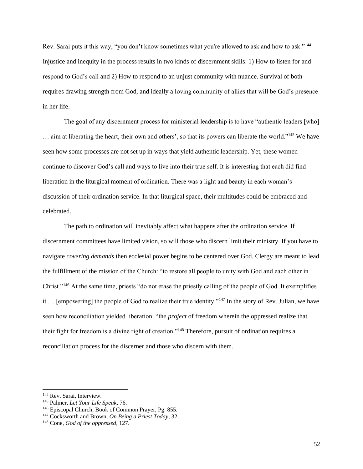Rev. Sarai puts it this way, "you don't know sometimes what you're allowed to ask and how to ask."<sup>144</sup> Injustice and inequity in the process results in two kinds of discernment skills: 1) How to listen for and respond to God's call and 2) How to respond to an unjust community with nuance. Survival of both requires drawing strength from God, and ideally a loving community of allies that will be God's presence in her life.

The goal of any discernment process for ministerial leadership is to have "authentic leaders [who] … aim at liberating the heart, their own and others', so that its powers can liberate the world."<sup>145</sup> We have seen how some processes are not set up in ways that yield authentic leadership. Yet, these women continue to discover God's call and ways to live into their true self. It is interesting that each did find liberation in the liturgical moment of ordination. There was a light and beauty in each woman's discussion of their ordination service. In that liturgical space, their multitudes could be embraced and celebrated.

The path to ordination will inevitably affect what happens after the ordination service. If discernment committees have limited vision, so will those who discern limit their ministry. If you have to navigate *covering demands* then ecclesial power begins to be centered over God. Clergy are meant to lead the fulfillment of the mission of the Church: "to restore all people to unity with God and each other in Christ."<sup>146</sup> At the same time, priests "do not erase the priestly calling of the people of God. It exemplifies it … [empowering] the people of God to realize their true identity."<sup>147</sup> In the story of Rev. Julian, we have seen how reconciliation yielded liberation: "the *project* of freedom wherein the oppressed realize that their fight for freedom is a divine right of creation."<sup>148</sup> Therefore, pursuit of ordination requires a reconciliation process for the discerner and those who discern with them.

<sup>144</sup> Rev. Sarai, Interview.

<sup>145</sup> Palmer, *Let Your Life Speak,* 76.

<sup>146</sup> Episcopal Church, Book of Common Prayer, Pg. 855.

<sup>147</sup> Cocksworth and Brown, *On Being a Priest Today*, 32.

<sup>148</sup> Cone, *God of the oppressed*, 127.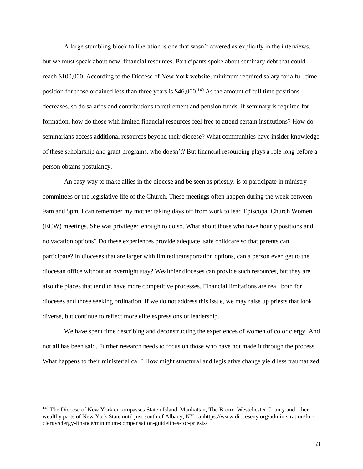A large stumbling block to liberation is one that wasn't covered as explicitly in the interviews, but we must speak about now, financial resources. Participants spoke about seminary debt that could reach \$100,000. According to the Diocese of New York website, minimum required salary for a full time position for those ordained less than three years is  $$46,000$ .<sup>149</sup> As the amount of full time positions decreases, so do salaries and contributions to retirement and pension funds. If seminary is required for formation, how do those with limited financial resources feel free to attend certain institutions? How do seminarians access additional resources beyond their diocese? What communities have insider knowledge of these scholarship and grant programs, who doesn't? But financial resourcing plays a role long before a person obtains postulancy.

An easy way to make allies in the diocese and be seen as priestly, is to participate in ministry committees or the legislative life of the Church. These meetings often happen during the week between 9am and 5pm. I can remember my mother taking days off from work to lead Episcopal Church Women (ECW) meetings. She was privileged enough to do so. What about those who have hourly positions and no vacation options? Do these experiences provide adequate, safe childcare so that parents can participate? In dioceses that are larger with limited transportation options, can a person even get to the diocesan office without an overnight stay? Wealthier dioceses can provide such resources, but they are also the places that tend to have more competitive processes. Financial limitations are real, both for dioceses and those seeking ordination. If we do not address this issue, we may raise up priests that look diverse, but continue to reflect more elite expressions of leadership.

We have spent time describing and deconstructing the experiences of women of color clergy. And not all has been said. Further research needs to focus on those who have not made it through the process. What happens to their ministerial call? How might structural and legislative change yield less traumatized

<sup>&</sup>lt;sup>149</sup> The Diocese of New York encompasses Staten Island, Manhattan, The Bronx, Westchester County and other wealthy parts of New York State until just south of Albany, NY. anhttps://www.dioceseny.org/administration/forclergy/clergy-finance/minimum-compensation-guidelines-for-priests/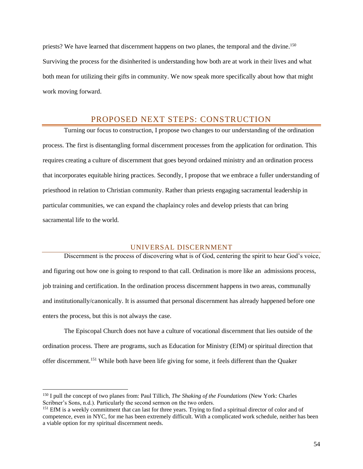priests? We have learned that discernment happens on two planes, the temporal and the divine.<sup>150</sup> Surviving the process for the disinherited is understanding how both are at work in their lives and what both mean for utilizing their gifts in community. We now speak more specifically about how that might work moving forward.

## PROPOSED NEXT STEPS: CONSTRUCTION

<span id="page-53-0"></span>Turning our focus to construction, I propose two changes to our understanding of the ordination process. The first is disentangling formal discernment processes from the application for ordination. This requires creating a culture of discernment that goes beyond ordained ministry and an ordination process that incorporates equitable hiring practices. Secondly, I propose that we embrace a fuller understanding of priesthood in relation to Christian community. Rather than priests engaging sacramental leadership in particular communities, we can expand the chaplaincy roles and develop priests that can bring sacramental life to the world.

### UNIVERSAL DISCERNMENT

<span id="page-53-1"></span>Discernment is the process of discovering what is of God, centering the spirit to hear God's voice, and figuring out how one is going to respond to that call. Ordination is more like an admissions process, job training and certification. In the ordination process discernment happens in two areas, communally and institutionally/canonically. It is assumed that personal discernment has already happened before one enters the process, but this is not always the case.

The Episcopal Church does not have a culture of vocational discernment that lies outside of the ordination process. There are programs, such as Education for Ministry (EfM) or spiritual direction that offer discernment.<sup>151</sup> While both have been life giving for some, it feels different than the Quaker

<sup>150</sup> I pull the concept of two planes from: Paul Tillich, *The Shaking of the Foundations* (New York: Charles Scribner's Sons, n.d.). Particularly the second sermon on the two orders.

<sup>&</sup>lt;sup>151</sup> EfM is a weekly commitment that can last for three years. Trying to find a spiritual director of color and of competence, even in NYC, for me has been extremely difficult. With a complicated work schedule, neither has been a viable option for my spiritual discernment needs.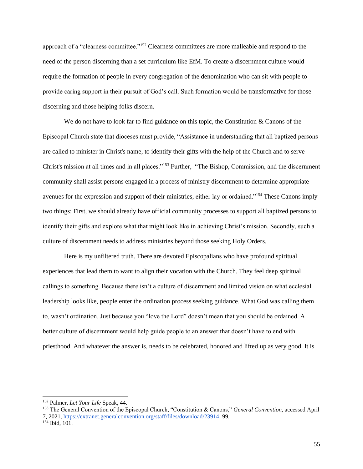approach of a "clearness committee."<sup>152</sup> Clearness committees are more malleable and respond to the need of the person discerning than a set curriculum like EfM. To create a discernment culture would require the formation of people in every congregation of the denomination who can sit with people to provide caring support in their pursuit of God's call. Such formation would be transformative for those discerning and those helping folks discern.

We do not have to look far to find guidance on this topic, the Constitution  $&$  Canons of the Episcopal Church state that dioceses must provide, "Assistance in understanding that all baptized persons are called to minister in Christ's name, to identify their gifts with the help of the Church and to serve Christ's mission at all times and in all places."<sup>153</sup> Further, "The Bishop, Commission, and the discernment community shall assist persons engaged in a process of ministry discernment to determine appropriate avenues for the expression and support of their ministries, either lay or ordained."<sup>154</sup> These Canons imply two things: First, we should already have official community processes to support all baptized persons to identify their gifts and explore what that might look like in achieving Christ's mission. Secondly, such a culture of discernment needs to address ministries beyond those seeking Holy Orders.

Here is my unfiltered truth. There are devoted Episcopalians who have profound spiritual experiences that lead them to want to align their vocation with the Church. They feel deep spiritual callings to something. Because there isn't a culture of discernment and limited vision on what ecclesial leadership looks like, people enter the ordination process seeking guidance. What God was calling them to, wasn't ordination. Just because you "love the Lord" doesn't mean that you should be ordained. A better culture of discernment would help guide people to an answer that doesn't have to end with priesthood. And whatever the answer is, needs to be celebrated, honored and lifted up as very good. It is

<sup>152</sup> Palmer, *Let Your Life* Speak, 44.

<sup>153</sup> The General Convention of the Episcopal Church, "Constitution & Canons," *General Convention*, accessed April 7, 202[1,](https://extranet.generalconvention.org/staff/files/download/23914) [https://extranet.generalconvention.org/staff/files/download/23914.](https://extranet.generalconvention.org/staff/files/download/23914) 99.

<sup>154</sup> Ibid, 101.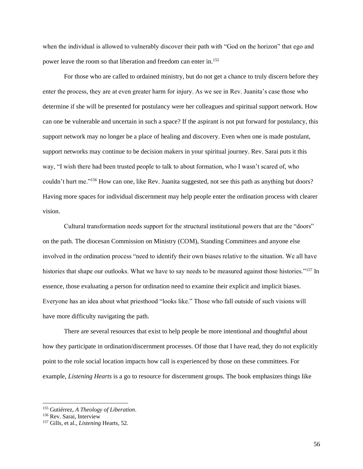when the individual is allowed to vulnerably discover their path with "God on the horizon" that ego and power leave the room so that liberation and freedom can enter in.<sup>155</sup>

For those who are called to ordained ministry, but do not get a chance to truly discern before they enter the process, they are at even greater harm for injury. As we see in Rev. Juanita's case those who determine if she will be presented for postulancy were her colleagues and spiritual support network. How can one be vulnerable and uncertain in such a space? If the aspirant is not put forward for postulancy, this support network may no longer be a place of healing and discovery. Even when one is made postulant, support networks may continue to be decision makers in your spiritual journey. Rev. Sarai puts it this way, "I wish there had been trusted people to talk to about formation, who I wasn't scared of, who couldn't hurt me."<sup>156</sup> How can one, like Rev. Juanita suggested, not see this path as anything but doors? Having more spaces for individual discernment may help people enter the ordination process with clearer vision.

Cultural transformation needs support for the structural institutional powers that are the "doors" on the path. The diocesan Commission on Ministry (COM), Standing Committees and anyone else involved in the ordination process "need to identify their own biases relative to the situation. We all have histories that shape our outlooks. What we have to say needs to be measured against those histories."<sup>157</sup> In essence, those evaluating a person for ordination need to examine their explicit and implicit biases. Everyone has an idea about what priesthood "looks like." Those who fall outside of such visions will have more difficulty navigating the path.

There are several resources that exist to help people be more intentional and thoughtful about how they participate in ordination/discernment processes. Of those that I have read, they do not explicitly point to the role social location impacts how call is experienced by those on these committees. For example, *Listening Hearts* is a go to resource for discernment groups. The book emphasizes things like

<sup>155</sup> Gutiérrez, *A Theology of Liberation*.

<sup>156</sup> Rev. Sarai, Interview

<sup>157</sup> Gills, et al., *Listening* Hearts, 52.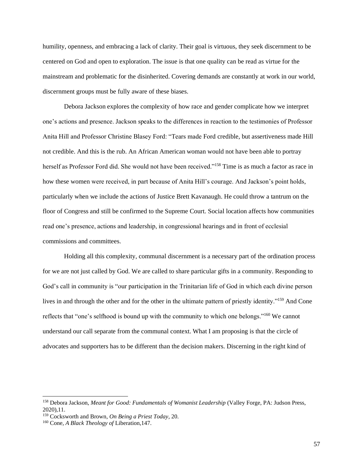humility, openness, and embracing a lack of clarity. Their goal is virtuous, they seek discernment to be centered on God and open to exploration. The issue is that one quality can be read as virtue for the mainstream and problematic for the disinherited. Covering demands are constantly at work in our world, discernment groups must be fully aware of these biases.

Debora Jackson explores the complexity of how race and gender complicate how we interpret one's actions and presence. Jackson speaks to the differences in reaction to the testimonies of Professor Anita Hill and Professor Christine Blasey Ford: "Tears made Ford credible, but assertiveness made Hill not credible. And this is the rub. An African American woman would not have been able to portray herself as Professor Ford did. She would not have been received."<sup>158</sup> Time is as much a factor as race in how these women were received, in part because of Anita Hill's courage. And Jackson's point holds, particularly when we include the actions of Justice Brett Kavanaugh. He could throw a tantrum on the floor of Congress and still be confirmed to the Supreme Court. Social location affects how communities read one's presence, actions and leadership, in congressional hearings and in front of ecclesial commissions and committees.

Holding all this complexity, communal discernment is a necessary part of the ordination process for we are not just called by God. We are called to share particular gifts in a community. Responding to God's call in community is "our participation in the Trinitarian life of God in which each divine person lives in and through the other and for the other in the ultimate pattern of priestly identity."<sup>159</sup> And Cone reflects that "one's selfhood is bound up with the community to which one belongs."<sup>160</sup> We cannot understand our call separate from the communal context. What I am proposing is that the circle of advocates and supporters has to be different than the decision makers. Discerning in the right kind of

<sup>158</sup> Debora Jackson, *Meant for Good: Fundamentals of Womanist Leadership* (Valley Forge, PA: Judson Press, 2020),11.

<sup>159</sup> Cocksworth and Brown, *On Being a Priest Today*, 20.

<sup>160</sup> Cone, *A Black Theology of* Liberation,147.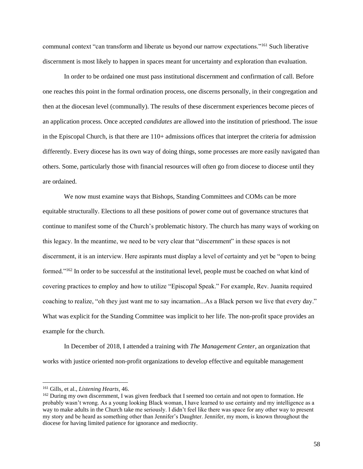communal context "can transform and liberate us beyond our narrow expectations."<sup>161</sup> Such liberative discernment is most likely to happen in spaces meant for uncertainty and exploration than evaluation.

In order to be ordained one must pass institutional discernment and confirmation of call. Before one reaches this point in the formal ordination process, one discerns personally, in their congregation and then at the diocesan level (communally). The results of these discernment experiences become pieces of an application process. Once accepted *candidates* are allowed into the institution of priesthood. The issue in the Episcopal Church, is that there are 110+ admissions offices that interpret the criteria for admission differently. Every diocese has its own way of doing things, some processes are more easily navigated than others. Some, particularly those with financial resources will often go from diocese to diocese until they are ordained.

We now must examine ways that Bishops, Standing Committees and COMs can be more equitable structurally. Elections to all these positions of power come out of governance structures that continue to manifest some of the Church's problematic history. The church has many ways of working on this legacy. In the meantime, we need to be very clear that "discernment" in these spaces is not discernment, it is an interview. Here aspirants must display a level of certainty and yet be "open to being formed."<sup>162</sup> In order to be successful at the institutional level, people must be coached on what kind of covering practices to employ and how to utilize "Episcopal Speak." For example, Rev. Juanita required coaching to realize, "oh they just want me to say incarnation...As a Black person we live that every day." What was explicit for the Standing Committee was implicit to her life. The non-profit space provides an example for the church.

In December of 2018, I attended a training with *The Management Center*, an organization that works with justice oriented non-profit organizations to develop effective and equitable management

<sup>161</sup> Gills, et al., *Listening Hearts*, 46.

<sup>&</sup>lt;sup>162</sup> During my own discernment, I was given feedback that I seemed too certain and not open to formation. He probably wasn't wrong. As a young looking Black woman, I have learned to use certainty and my intelligence as a way to make adults in the Church take me seriously. I didn't feel like there was space for any other way to present my story and be heard as something other than Jennifer's Daughter. Jennifer, my mom, is known throughout the diocese for having limited patience for ignorance and mediocrity.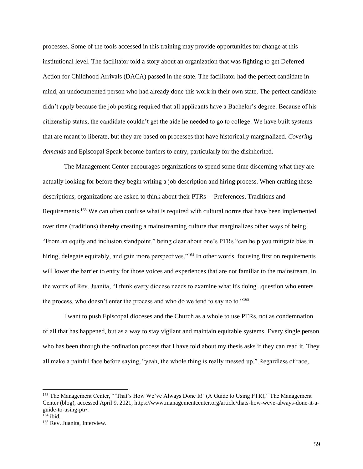processes. Some of the tools accessed in this training may provide opportunities for change at this institutional level. The facilitator told a story about an organization that was fighting to get Deferred Action for Childhood Arrivals (DACA) passed in the state. The facilitator had the perfect candidate in mind, an undocumented person who had already done this work in their own state. The perfect candidate didn't apply because the job posting required that all applicants have a Bachelor's degree. Because of his citizenship status, the candidate couldn't get the aide he needed to go to college. We have built systems that are meant to liberate, but they are based on processes that have historically marginalized. *Covering demands* and Episcopal Speak become barriers to entry, particularly for the disinherited.

The Management Center encourages organizations to spend some time discerning what they are actually looking for before they begin writing a job description and hiring process. When crafting these descriptions, organizations are asked to think about their PTRs -- Preferences, Traditions and Requirements.<sup>163</sup> We can often confuse what is required with cultural norms that have been implemented over time (traditions) thereby creating a mainstreaming culture that marginalizes other ways of being. "From an equity and inclusion standpoint," being clear about one's PTRs "can help you mitigate bias in hiring, delegate equitably, and gain more perspectives."<sup>164</sup> In other words, focusing first on requirements will lower the barrier to entry for those voices and experiences that are not familiar to the mainstream. In the words of Rev. Juanita, "I think every diocese needs to examine what it's doing...question who enters the process, who doesn't enter the process and who do we tend to say no to."<sup>165</sup>

I want to push Episcopal dioceses and the Church as a whole to use PTRs, not as condemnation of all that has happened, but as a way to stay vigilant and maintain equitable systems. Every single person who has been through the ordination process that I have told about my thesis asks if they can read it. They all make a painful face before saying, "yeah, the whole thing is really messed up." Regardless of race,

<sup>163</sup> The Management Center, "'That's How We've Always Done It!' (A Guide to Using PTR)," The Management Center (blog), accessed April 9, 2021, https://www.managementcenter.org/article/thats-how-weve-always-done-it-aguide-to-using-ptr/.

<sup>164</sup> ibid.

<sup>165</sup> Rev. Juanita, Interview.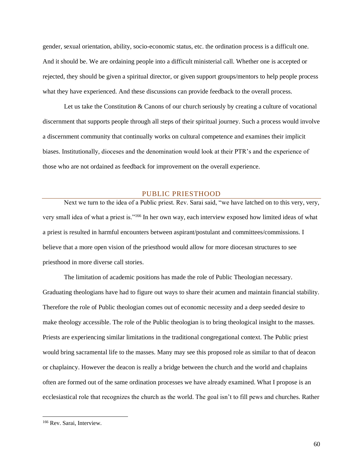gender, sexual orientation, ability, socio-economic status, etc. the ordination process is a difficult one. And it should be. We are ordaining people into a difficult ministerial call. Whether one is accepted or rejected, they should be given a spiritual director, or given support groups/mentors to help people process what they have experienced. And these discussions can provide feedback to the overall process.

Let us take the Constitution & Canons of our church seriously by creating a culture of vocational discernment that supports people through all steps of their spiritual journey. Such a process would involve a discernment community that continually works on cultural competence and examines their implicit biases. Institutionally, dioceses and the denomination would look at their PTR's and the experience of those who are not ordained as feedback for improvement on the overall experience.

### PUBLIC PRIESTHOOD

<span id="page-59-0"></span>Next we turn to the idea of a Public priest. Rev. Sarai said, "we have latched on to this very, very, very small idea of what a priest is."<sup>166</sup> In her own way, each interview exposed how limited ideas of what a priest is resulted in harmful encounters between aspirant/postulant and committees/commissions. I believe that a more open vision of the priesthood would allow for more diocesan structures to see priesthood in more diverse call stories.

The limitation of academic positions has made the role of Public Theologian necessary. Graduating theologians have had to figure out ways to share their acumen and maintain financial stability. Therefore the role of Public theologian comes out of economic necessity and a deep seeded desire to make theology accessible. The role of the Public theologian is to bring theological insight to the masses. Priests are experiencing similar limitations in the traditional congregational context. The Public priest would bring sacramental life to the masses. Many may see this proposed role as similar to that of deacon or chaplaincy. However the deacon is really a bridge between the church and the world and chaplains often are formed out of the same ordination processes we have already examined. What I propose is an ecclesiastical role that recognizes the church as the world. The goal isn't to fill pews and churches. Rather

<sup>166</sup> Rev. Sarai, Interview.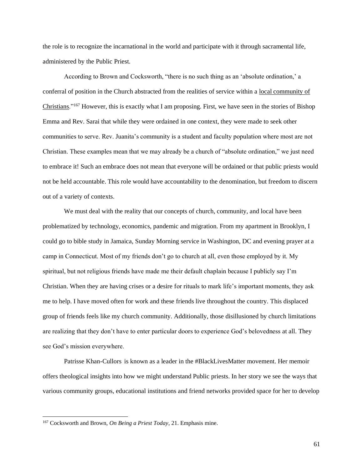the role is to recognize the incarnational in the world and participate with it through sacramental life, administered by the Public Priest.

According to Brown and Cocksworth, "there is no such thing as an 'absolute ordination,' a conferral of position in the Church abstracted from the realities of service within a local community of Christians."<sup>167</sup> However, this is exactly what I am proposing. First, we have seen in the stories of Bishop Emma and Rev. Sarai that while they were ordained in one context, they were made to seek other communities to serve. Rev. Juanita's community is a student and faculty population where most are not Christian. These examples mean that we may already be a church of "absolute ordination," we just need to embrace it! Such an embrace does not mean that everyone will be ordained or that public priests would not be held accountable. This role would have accountability to the denomination, but freedom to discern out of a variety of contexts.

We must deal with the reality that our concepts of church, community, and local have been problematized by technology, economics, pandemic and migration. From my apartment in Brooklyn, I could go to bible study in Jamaica, Sunday Morning service in Washington, DC and evening prayer at a camp in Connecticut. Most of my friends don't go to church at all, even those employed by it. My spiritual, but not religious friends have made me their default chaplain because I publicly say I'm Christian. When they are having crises or a desire for rituals to mark life's important moments, they ask me to help. I have moved often for work and these friends live throughout the country. This displaced group of friends feels like my church community. Additionally, those disillusioned by church limitations are realizing that they don't have to enter particular doors to experience God's belovedness at all. They see God's mission everywhere.

Patrisse Khan-Cullors is known as a leader in the #BlackLivesMatter movement. Her memoir offers theological insights into how we might understand Public priests. In her story we see the ways that various community groups, educational institutions and friend networks provided space for her to develop

<sup>167</sup> Cocksworth and Brown, *On Being a Priest Today*, 21. Emphasis mine.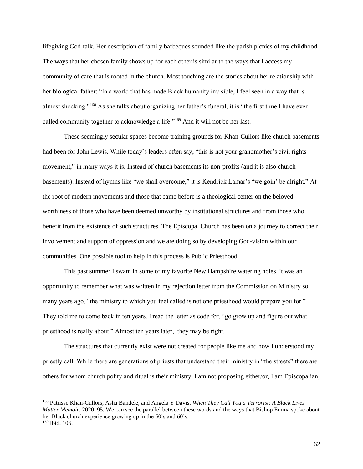lifegiving God-talk. Her description of family barbeques sounded like the parish picnics of my childhood. The ways that her chosen family shows up for each other is similar to the ways that I access my community of care that is rooted in the church. Most touching are the stories about her relationship with her biological father: "In a world that has made Black humanity invisible, I feel seen in a way that is almost shocking."<sup>168</sup> As she talks about organizing her father's funeral, it is "the first time I have ever called community together to acknowledge a life."<sup>169</sup> And it will not be her last.

These seemingly secular spaces become training grounds for Khan-Cullors like church basements had been for John Lewis. While today's leaders often say, "this is not your grandmother's civil rights movement," in many ways it is. Instead of church basements its non-profits (and it is also church basements). Instead of hymns like "we shall overcome," it is Kendrick Lamar's "we goin' be alright." At the root of modern movements and those that came before is a theological center on the beloved worthiness of those who have been deemed unworthy by institutional structures and from those who benefit from the existence of such structures. The Episcopal Church has been on a journey to correct their involvement and support of oppression and we are doing so by developing God-vision within our communities. One possible tool to help in this process is Public Priesthood.

This past summer I swam in some of my favorite New Hampshire watering holes, it was an opportunity to remember what was written in my rejection letter from the Commission on Ministry so many years ago, "the ministry to which you feel called is not one priesthood would prepare you for." They told me to come back in ten years. I read the letter as code for, "go grow up and figure out what priesthood is really about." Almost ten years later, they may be right.

The structures that currently exist were not created for people like me and how I understood my priestly call. While there are generations of priests that understand their ministry in "the streets" there are others for whom church polity and ritual is their ministry. I am not proposing either/or, I am Episcopalian,

<sup>168</sup> Patrisse Khan-Cullors, Asha Bandele, and Angela Y Davis, *When They Call You a Terrorist: A Black Lives Matter Memoir*, 2020, 95. We can see the parallel between these words and the ways that Bishop Emma spoke about her Black church experience growing up in the 50's and 60's. <sup>169</sup> Ibid, 106.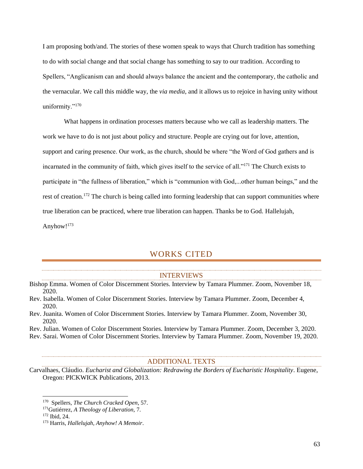I am proposing both/and. The stories of these women speak to ways that Church tradition has something to do with social change and that social change has something to say to our tradition. According to Spellers, "Anglicanism can and should always balance the ancient and the contemporary, the catholic and the vernacular. We call this middle way, the *via media*, and it allows us to rejoice in having unity without uniformity."<sup>170</sup>

What happens in ordination processes matters because who we call as leadership matters. The work we have to do is not just about policy and structure. People are crying out for love, attention, support and caring presence. Our work, as the church, should be where "the Word of God gathers and is incarnated in the community of faith, which gives itself to the service of all."<sup>171</sup> The Church exists to participate in "the fullness of liberation," which is "communion with God,...other human beings," and the rest of creation.<sup>172</sup> The church is being called into forming leadership that can support communities where true liberation can be practiced, where true liberation can happen. Thanks be to God. Hallelujah, Anyhow!<sup>173</sup>

# WORKS CITED

### INTERVIEWS

- <span id="page-62-1"></span><span id="page-62-0"></span>Bishop Emma. Women of Color Discernment Stories. Interview by Tamara Plummer. Zoom, November 18, 2020.
- Rev. Isabella. Women of Color Discernment Stories. Interview by Tamara Plummer. Zoom, December 4, 2020.
- Rev. Juanita. Women of Color Discernment Stories. Interview by Tamara Plummer. Zoom, November 30, 2020.

Rev. Julian. Women of Color Discernment Stories. Interview by Tamara Plummer. Zoom, December 3, 2020.

<span id="page-62-2"></span>Rev. Sarai. Women of Color Discernment Stories. Interview by Tamara Plummer. Zoom, November 19, 2020.

#### ADDITIONAL TEXTS

Carvalhaes, Cláudio. *Eucharist and Globalization: Redrawing the Borders of Eucharistic Hospitality*. Eugene, Oregon: PICKWICK Publications, 2013.

<sup>170</sup> Spellers, *The Church Cracked Open*, 57.

<sup>171</sup>Gutiérrez, *A Theology of Liberation,* 7.

<sup>172</sup> Ibid, 24.

<sup>173</sup> Harris, *Hallelujah, Anyhow! A Memoir*.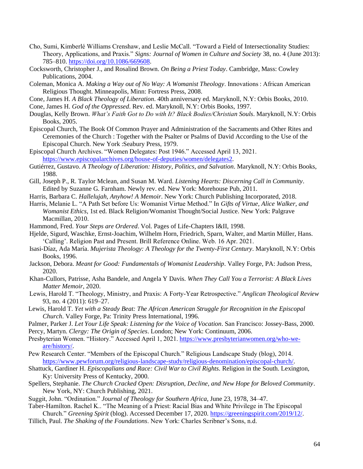- Cho, Sumi, Kimberlé Williams Crenshaw, and Leslie McCall. "Toward a Field of Intersectionality Studies: Theory, Applications, and Praxis." *Signs: Journal of Women in Culture and Society* 38, no. 4 (June 2013): 785–810. [https://doi.org/10.1086/669608.](https://doi.org/10.1086/669608)
- Cocksworth, Christopher J., and Rosalind Brown. *On Being a Priest Today*. Cambridge, Mass: Cowley Publications, 2004.
- Coleman, Monica A. *Making a Way out of No Way: A Womanist Theology*. Innovations : African American Religious Thought. Minneapolis, Minn: Fortress Press, 2008.
- Cone, James H. *A Black Theology of Liberation*. 40th anniversary ed. Maryknoll, N.Y: Orbis Books, 2010.

Cone, James H. *God of the Oppressed*. Rev. ed. Maryknoll, N.Y: Orbis Books, 1997.

- Douglas, Kelly Brown. *What's Faith Got to Do with It? Black Bodies/Christian Souls*. Maryknoll, N.Y: Orbis Books, 2005.
- Episcopal Church, The Book Of Common Prayer and Administration of the Sacraments and Other Rites and Ceremonies of the Church : Together with the Psalter or Psalms of David According to the Use of the Episcopal Church. New York :Seabury Press, 1979.
- Episcopal Church Archives. "Women Delegates: Post 1946." Accessed April 13, 2021. [https://www.episcopalarchives.org/house-of-deputies/women/delegates2.](https://www.episcopalarchives.org/house-of-deputies/women/delegates2)
- Gutiérrez, Gustavo. *A Theology of Liberation: History, Politics, and Salvation*. Maryknoll, N.Y: Orbis Books, 1988.
- Gill, Joseph P., R. Taylor Mclean, and Susan M. Ward. *Listening Hearts: Discerning Call in Community*. Edited by Suzanne G. Farnham. Newly rev. ed. New York: Morehouse Pub, 2011.
- Harris, Barbara C. *Hallelujah, Anyhow! A Memoir*. New York: Church Publishing Incorporated, 2018.
- Harris, Melanie L. "A Path Set before Us: Womanist Virtue Method." In *Gifts of Virtue, Alice Walker, and Womanist Ethics*, 1st ed. Black Religion/Womanist Thought/Social Justice. New York: Palgrave Macmillan, 2010.
- Hammond, Fred. *Your Steps are Ordered*. Vol. Pages of Life-Chapters I&II, 1998.
- Hjelde, Sigurd, Waschke, Ernst-Joachim, Wilhelm Horn, Friedrich, Sparn, Walter, and Martin Müller, Hans. 'Calling'. Religion Past and Present. Brill Reference Online. Web. 16 Apr. 2021.
- Isasi-Díaz, Ada María. *Mujerista Theology: A Theology for the Twenty-First Century*. Maryknoll, N.Y: Orbis Books, 1996.
- Jackson, Debora. *Meant for Good: Fundamentals of Womanist Leadership*. Valley Forge, PA: Judson Press, 2020.
- Khan-Cullors, Patrisse, Asha Bandele, and Angela Y Davis. *When They Call You a Terrorist: A Black Lives Matter Memoir*, 2020.
- Lewis, Harold T. "Theology, Ministry, and Praxis: A Forty-Year Retrospective." *Anglican Theological Review* 93, no. 4 (2011): 619–27.
- Lewis, Harold T. *Yet with a Steady Beat: The African American Struggle for Recognition in the Episcopal Church*. Valley Forge, Pa: Trinity Press International, 1996.
- Palmer, Parker J. *Let Your Life Speak: Listening for the Voice of Vocation*. San Francisco: Jossey-Bass, 2000.
- Percy, Martyn. *Clergy: The Origin of Species*. London; New York: Continuum, 2006.
- Presbyterian Women. "History." Accessed April 1, 2021. [https://www.presbyterianwomen.org/who-we](https://www.presbyterianwomen.org/who-we-are/history/)[are/history/.](https://www.presbyterianwomen.org/who-we-are/history/)
- Pew Research Center. "Members of the Episcopal Church." Religious Landscape Study (blog), 2014. [https://www.pewforum.org/religious-landscape-study/religious-denomination/episcopal-church/.](https://www.pewforum.org/religious-landscape-study/religious-denomination/episcopal-church/)
- Shattuck, Gardiner H. *Episcopalians and Race: Civil War to Civil Rights*. Religion in the South. Lexington, Ky: University Press of Kentucky, 2000.
- Spellers, Stephanie. *The Church Cracked Open: Disruption, Decline, and New Hope for Beloved Community*. New York, NY: Church Publishing, 2021.
- Suggit, John. "Ordination." *Journal of Theology for Southern Africa*, June 23, 1978, 34–47.
- Taber-Hamilton. Rachel K.. "The Meaning of a Priest: Racial Bias and White Privilege in The Episcopal Church." *Greening Spirit* (blog). Accessed December 17, 2020. [https://greeningspirit.com/2019/12/.](https://greeningspirit.com/2019/12/)
- Tillich, Paul. *The Shaking of the Foundations*. New York: Charles Scribner's Sons, n.d.